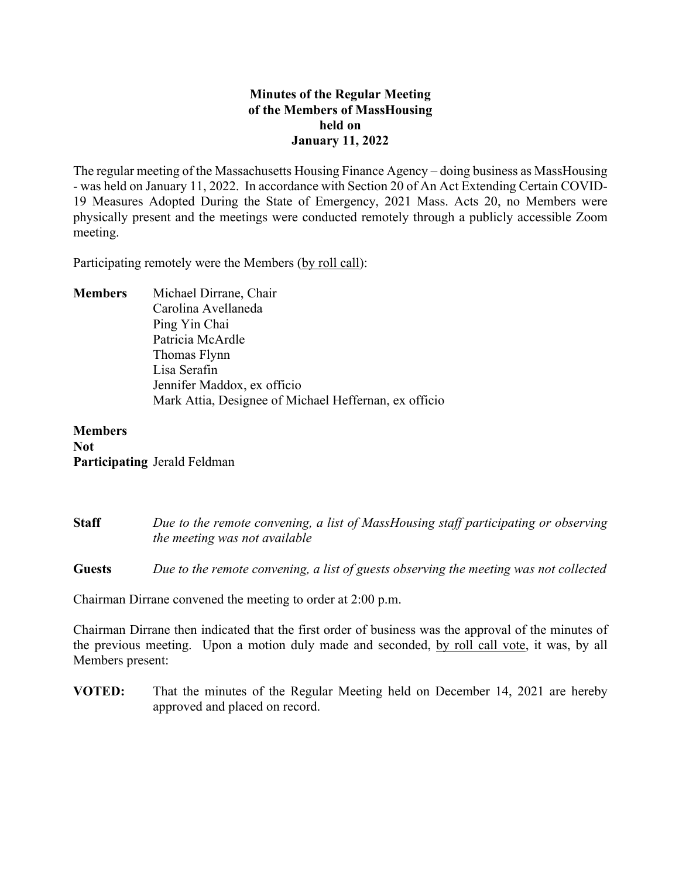# **Minutes of the Regular Meeting of the Members of MassHousing held on January 11, 2022**

The regular meeting of the Massachusetts Housing Finance Agency – doing business as MassHousing - was held on January 11, 2022. In accordance with Section 20 of An Act Extending Certain COVID-19 Measures Adopted During the State of Emergency, 2021 Mass. Acts 20, no Members were physically present and the meetings were conducted remotely through a publicly accessible Zoom meeting.

Participating remotely were the Members (by roll call):

**Members** Michael Dirrane, Chair Carolina Avellaneda Ping Yin Chai Patricia McArdle Thomas Flynn Lisa Serafin Jennifer Maddox, ex officio Mark Attia, Designee of Michael Heffernan, ex officio

**Members Not Participating** Jerald Feldman

**Staff** *Due to the remote convening, a list of MassHousing staff participating or observing the meeting was not available* 

**Guests** *Due to the remote convening, a list of guests observing the meeting was not collected*

Chairman Dirrane convened the meeting to order at 2:00 p.m.

Chairman Dirrane then indicated that the first order of business was the approval of the minutes of the previous meeting. Upon a motion duly made and seconded, by roll call vote, it was, by all Members present:

**VOTED:** That the minutes of the Regular Meeting held on December 14, 2021 are hereby approved and placed on record.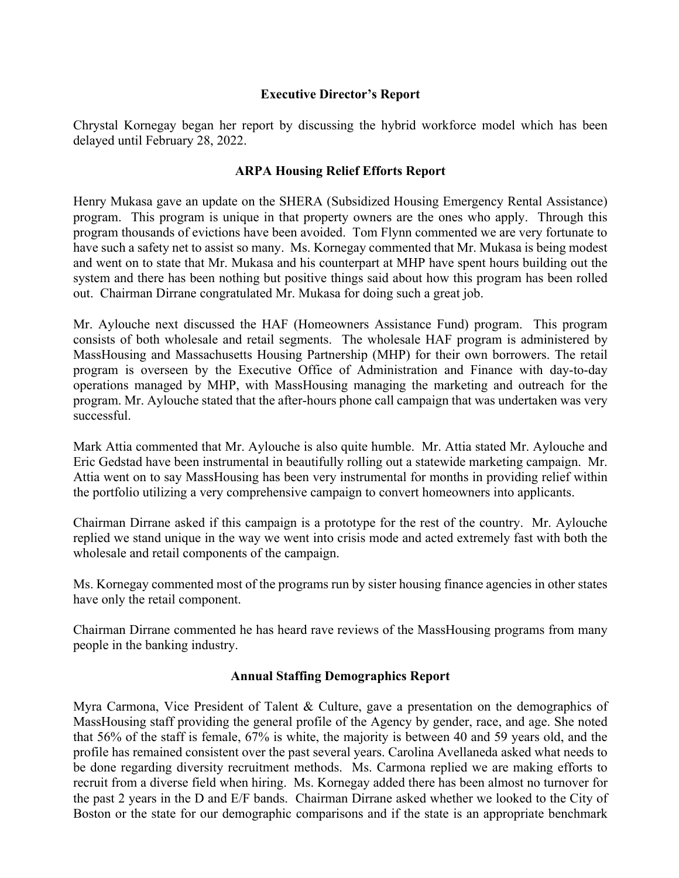### **Executive Director's Report**

Chrystal Kornegay began her report by discussing the hybrid workforce model which has been delayed until February 28, 2022.

# **ARPA Housing Relief Efforts Report**

Henry Mukasa gave an update on the SHERA (Subsidized Housing Emergency Rental Assistance) program. This program is unique in that property owners are the ones who apply. Through this program thousands of evictions have been avoided. Tom Flynn commented we are very fortunate to have such a safety net to assist so many. Ms. Kornegay commented that Mr. Mukasa is being modest and went on to state that Mr. Mukasa and his counterpart at MHP have spent hours building out the system and there has been nothing but positive things said about how this program has been rolled out. Chairman Dirrane congratulated Mr. Mukasa for doing such a great job.

Mr. Aylouche next discussed the HAF (Homeowners Assistance Fund) program. This program consists of both wholesale and retail segments. The wholesale HAF program is administered by MassHousing and Massachusetts Housing Partnership (MHP) for their own borrowers. The retail program is overseen by the Executive Office of Administration and Finance with day-to-day operations managed by MHP, with MassHousing managing the marketing and outreach for the program. Mr. Aylouche stated that the after-hours phone call campaign that was undertaken was very successful.

Mark Attia commented that Mr. Aylouche is also quite humble. Mr. Attia stated Mr. Aylouche and Eric Gedstad have been instrumental in beautifully rolling out a statewide marketing campaign. Mr. Attia went on to say MassHousing has been very instrumental for months in providing relief within the portfolio utilizing a very comprehensive campaign to convert homeowners into applicants.

Chairman Dirrane asked if this campaign is a prototype for the rest of the country. Mr. Aylouche replied we stand unique in the way we went into crisis mode and acted extremely fast with both the wholesale and retail components of the campaign.

Ms. Kornegay commented most of the programs run by sister housing finance agencies in other states have only the retail component.

Chairman Dirrane commented he has heard rave reviews of the MassHousing programs from many people in the banking industry.

# **Annual Staffing Demographics Report**

Myra Carmona, Vice President of Talent & Culture, gave a presentation on the demographics of MassHousing staff providing the general profile of the Agency by gender, race, and age. She noted that 56% of the staff is female, 67% is white, the majority is between 40 and 59 years old, and the profile has remained consistent over the past several years. Carolina Avellaneda asked what needs to be done regarding diversity recruitment methods. Ms. Carmona replied we are making efforts to recruit from a diverse field when hiring. Ms. Kornegay added there has been almost no turnover for the past 2 years in the D and E/F bands. Chairman Dirrane asked whether we looked to the City of Boston or the state for our demographic comparisons and if the state is an appropriate benchmark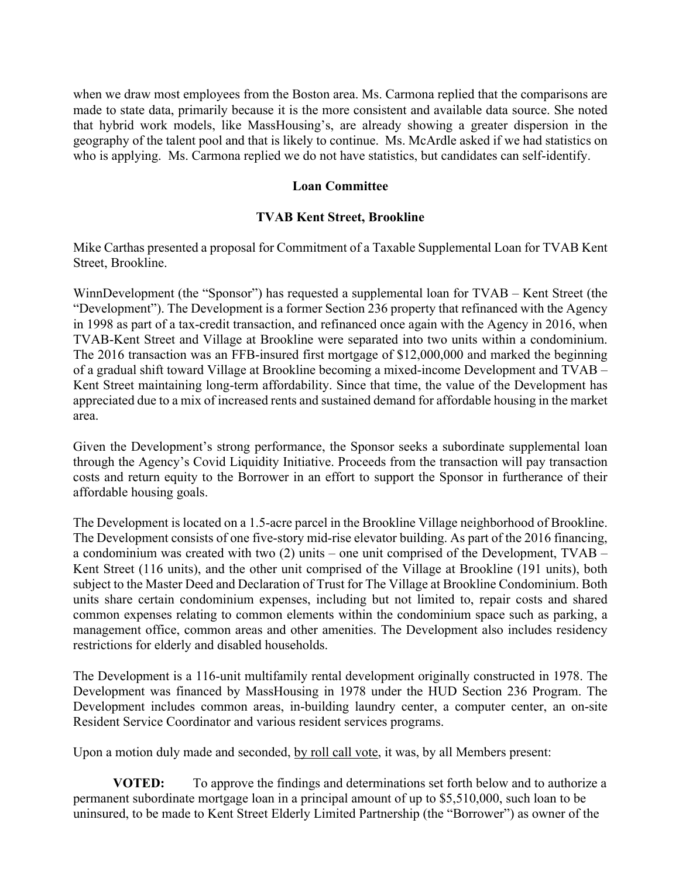when we draw most employees from the Boston area. Ms. Carmona replied that the comparisons are made to state data, primarily because it is the more consistent and available data source. She noted that hybrid work models, like MassHousing's, are already showing a greater dispersion in the geography of the talent pool and that is likely to continue. Ms. McArdle asked if we had statistics on who is applying. Ms. Carmona replied we do not have statistics, but candidates can self-identify.

### **Loan Committee**

### **TVAB Kent Street, Brookline**

Mike Carthas presented a proposal for Commitment of a Taxable Supplemental Loan for TVAB Kent Street, Brookline.

WinnDevelopment (the "Sponsor") has requested a supplemental loan for TVAB – Kent Street (the "Development"). The Development is a former Section 236 property that refinanced with the Agency in 1998 as part of a tax-credit transaction, and refinanced once again with the Agency in 2016, when TVAB-Kent Street and Village at Brookline were separated into two units within a condominium. The 2016 transaction was an FFB-insured first mortgage of \$12,000,000 and marked the beginning of a gradual shift toward Village at Brookline becoming a mixed-income Development and TVAB – Kent Street maintaining long-term affordability. Since that time, the value of the Development has appreciated due to a mix of increased rents and sustained demand for affordable housing in the market area.

Given the Development's strong performance, the Sponsor seeks a subordinate supplemental loan through the Agency's Covid Liquidity Initiative. Proceeds from the transaction will pay transaction costs and return equity to the Borrower in an effort to support the Sponsor in furtherance of their affordable housing goals.

The Development is located on a 1.5-acre parcel in the Brookline Village neighborhood of Brookline. The Development consists of one five-story mid-rise elevator building. As part of the 2016 financing, a condominium was created with two (2) units – one unit comprised of the Development, TVAB – Kent Street (116 units), and the other unit comprised of the Village at Brookline (191 units), both subject to the Master Deed and Declaration of Trust for The Village at Brookline Condominium. Both units share certain condominium expenses, including but not limited to, repair costs and shared common expenses relating to common elements within the condominium space such as parking, a management office, common areas and other amenities. The Development also includes residency restrictions for elderly and disabled households.

The Development is a 116-unit multifamily rental development originally constructed in 1978. The Development was financed by MassHousing in 1978 under the HUD Section 236 Program. The Development includes common areas, in-building laundry center, a computer center, an on-site Resident Service Coordinator and various resident services programs.

Upon a motion duly made and seconded, by roll call vote, it was, by all Members present:

**VOTED:** To approve the findings and determinations set forth below and to authorize a permanent subordinate mortgage loan in a principal amount of up to \$5,510,000, such loan to be uninsured, to be made to Kent Street Elderly Limited Partnership (the "Borrower") as owner of the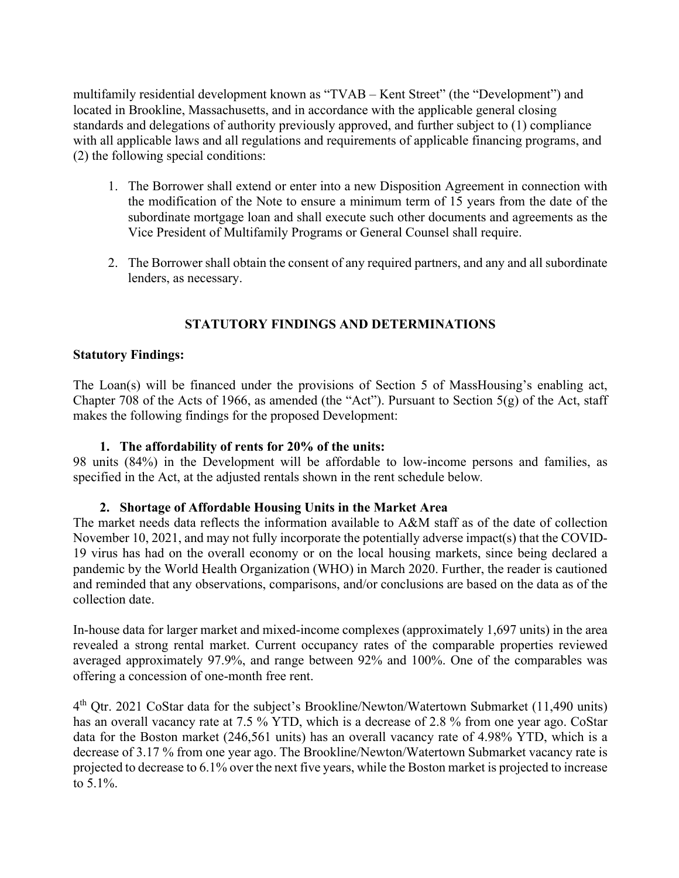multifamily residential development known as "TVAB – Kent Street" (the "Development") and located in Brookline, Massachusetts, and in accordance with the applicable general closing standards and delegations of authority previously approved, and further subject to (1) compliance with all applicable laws and all regulations and requirements of applicable financing programs, and (2) the following special conditions:

- 1. The Borrower shall extend or enter into a new Disposition Agreement in connection with the modification of the Note to ensure a minimum term of 15 years from the date of the subordinate mortgage loan and shall execute such other documents and agreements as the Vice President of Multifamily Programs or General Counsel shall require.
- 2. The Borrower shall obtain the consent of any required partners, and any and all subordinate lenders, as necessary.

# **STATUTORY FINDINGS AND DETERMINATIONS**

### **Statutory Findings:**

The Loan(s) will be financed under the provisions of Section 5 of MassHousing's enabling act, Chapter 708 of the Acts of 1966, as amended (the "Act"). Pursuant to Section 5(g) of the Act, staff makes the following findings for the proposed Development:

### **1. The affordability of rents for 20% of the units:**

98 units (84%) in the Development will be affordable to low-income persons and families, as specified in the Act, at the adjusted rentals shown in the rent schedule below*.* 

### **2. Shortage of Affordable Housing Units in the Market Area**

The market needs data reflects the information available to A&M staff as of the date of collection November 10, 2021, and may not fully incorporate the potentially adverse impact(s) that the COVID-19 virus has had on the overall economy or on the local housing markets, since being declared a pandemic by the World Health Organization (WHO) in March 2020. Further, the reader is cautioned and reminded that any observations, comparisons, and/or conclusions are based on the data as of the collection date.

In-house data for larger market and mixed-income complexes (approximately 1,697 units) in the area revealed a strong rental market. Current occupancy rates of the comparable properties reviewed averaged approximately 97.9%, and range between 92% and 100%. One of the comparables was offering a concession of one-month free rent.

4th Qtr. 2021 CoStar data for the subject's Brookline/Newton/Watertown Submarket (11,490 units) has an overall vacancy rate at 7.5 % YTD, which is a decrease of 2.8 % from one year ago. CoStar data for the Boston market (246,561 units) has an overall vacancy rate of 4.98% YTD, which is a decrease of 3.17 % from one year ago. The Brookline/Newton/Watertown Submarket vacancy rate is projected to decrease to 6.1% over the next five years, while the Boston market is projected to increase to 5.1%.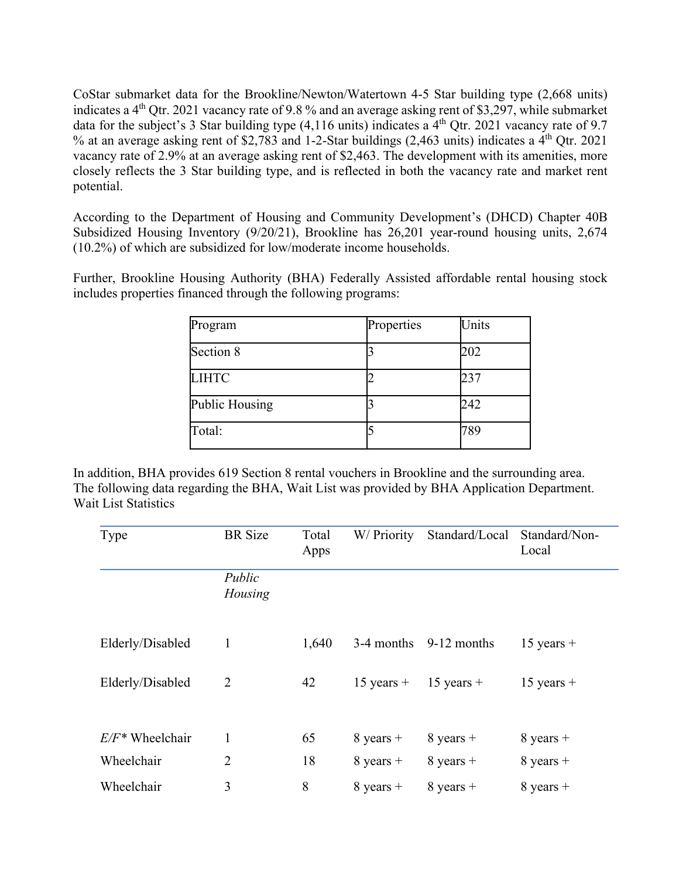CoStar submarket data for the Brookline/Newton/Watertown 4-5 Star building type (2,668 units) indicates a 4<sup>th</sup> Qtr. 2021 vacancy rate of 9.8 % and an average asking rent of \$3,297, while submarket data for the subject's 3 Star building type  $(4,116 \text{ units})$  indicates a  $4^{\text{th}}$  Qtr. 2021 vacancy rate of 9.7 % at an average asking rent of \$2,783 and 1-2-Star buildings (2,463 units) indicates a  $4<sup>th</sup>$  Qtr. 2021 vacancy rate of 2.9% at an average asking rent of \$2,463. The development with its amenities, more closely reflects the 3 Star building type, and is reflected in both the vacancy rate and market rent potential.

According to the Department of Housing and Community Development's (DHCD) Chapter 40B Subsidized Housing Inventory (9/20/21), Brookline has 26,201 year-round housing units, 2,674 (10.2%) of which are subsidized for low/moderate income households.

Further, Brookline Housing Authority (BHA) Federally Assisted affordable rental housing stock includes properties financed through the following programs:

| Program        | Properties | Units |
|----------------|------------|-------|
| Section 8      |            | 202   |
| <b>LIHTC</b>   |            | 237   |
| Public Housing |            | 242   |
| Total:         |            | 789   |

In addition, BHA provides 619 Section 8 rental vouchers in Brookline and the surrounding area. The following data regarding the BHA, Wait List was provided by BHA Application Department. Wait List Statistics

| Type               | <b>BR</b> Size    | Total<br>Apps | W/ Priority  | Standard/Local | Standard/Non-<br>Local |
|--------------------|-------------------|---------------|--------------|----------------|------------------------|
|                    | Public<br>Housing |               |              |                |                        |
| Elderly/Disabled   | 1                 | 1,640         | 3-4 months   | 9-12 months    | $15$ years +           |
| Elderly/Disabled   | $\overline{2}$    | 42            | $15$ years + | $15$ years +   | $15$ years +           |
| $E/F^*$ Wheelchair | 1                 | 65            | $8$ years +  | $8$ years +    | $8$ years +            |
| Wheelchair         | $\overline{2}$    | 18            | $8$ years +  | $8$ years +    | $8$ years +            |
| Wheelchair         | 3                 | 8             | $8$ years +  | $8$ years +    | $8$ years +            |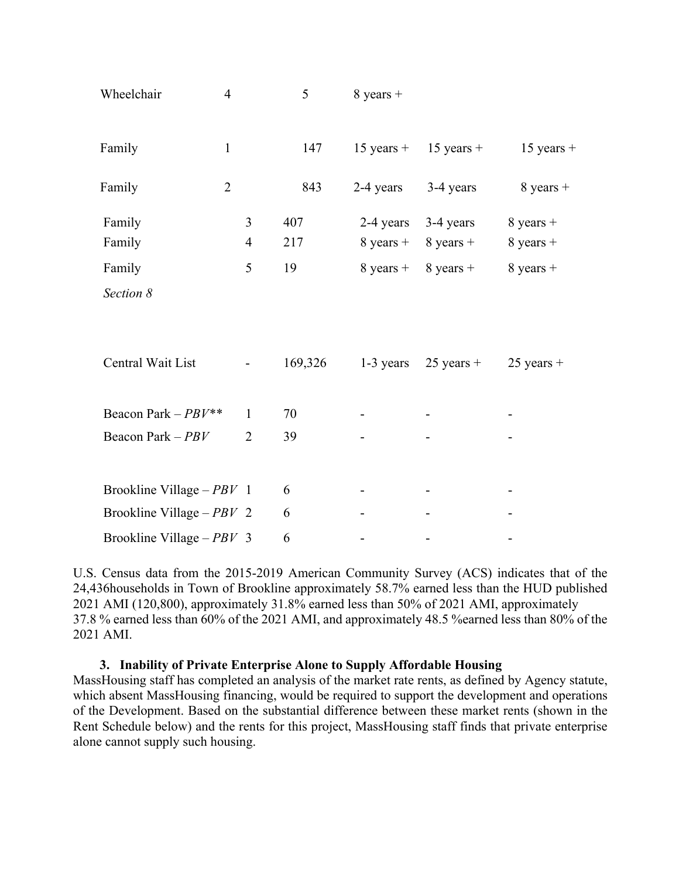| Wheelchair                  | $\overline{4}$ | 5       | $8$ years +         |                     |                     |
|-----------------------------|----------------|---------|---------------------|---------------------|---------------------|
| Family                      | $\mathbf{1}$   | 147     | $15$ years +        | $15$ years +        | $15$ years +        |
| Family                      | $\overline{2}$ | 843     | 2-4 years           | 3-4 years           | $8$ years +         |
| Family                      | $\overline{3}$ | 407     | 2-4 years           | 3-4 years           | $8$ years +         |
| Family                      | $\overline{4}$ | 217     | $8 \text{ years} +$ | $8 \text{ years} +$ | $8$ years +         |
| Family                      | 5              | 19      | $8 \text{ years} +$ | $8 \text{ years} +$ | $8 \text{ years} +$ |
| Section 8                   |                |         |                     |                     |                     |
|                             |                |         |                     |                     |                     |
| Central Wait List           |                | 169,326 | 1-3 years           | $25$ years +        | $25$ years +        |
| Beacon Park $-PBY**$        | $\mathbf{1}$   | 70      |                     |                     |                     |
| Beacon Park - PBV           | $\overline{2}$ | 39      |                     |                     |                     |
|                             |                |         |                     |                     |                     |
| Brookline Village $-PBV$ 1  |                | 6       |                     |                     |                     |
| Brookline Village – $PBV$ 2 |                | 6       |                     |                     |                     |
| Brookline Village $-PBY$ 3  |                | 6       |                     |                     |                     |

U.S. Census data from the 2015-2019 American Community Survey (ACS) indicates that of the 24,436households in Town of Brookline approximately 58.7% earned less than the HUD published 2021 AMI (120,800), approximately 31.8% earned less than 50% of 2021 AMI, approximately 37.8 % earned less than 60% of the 2021 AMI, and approximately 48.5 %earned less than 80% of the 2021 AMI.

# **3. Inability of Private Enterprise Alone to Supply Affordable Housing**

MassHousing staff has completed an analysis of the market rate rents, as defined by Agency statute, which absent MassHousing financing, would be required to support the development and operations of the Development. Based on the substantial difference between these market rents (shown in the Rent Schedule below) and the rents for this project, MassHousing staff finds that private enterprise alone cannot supply such housing.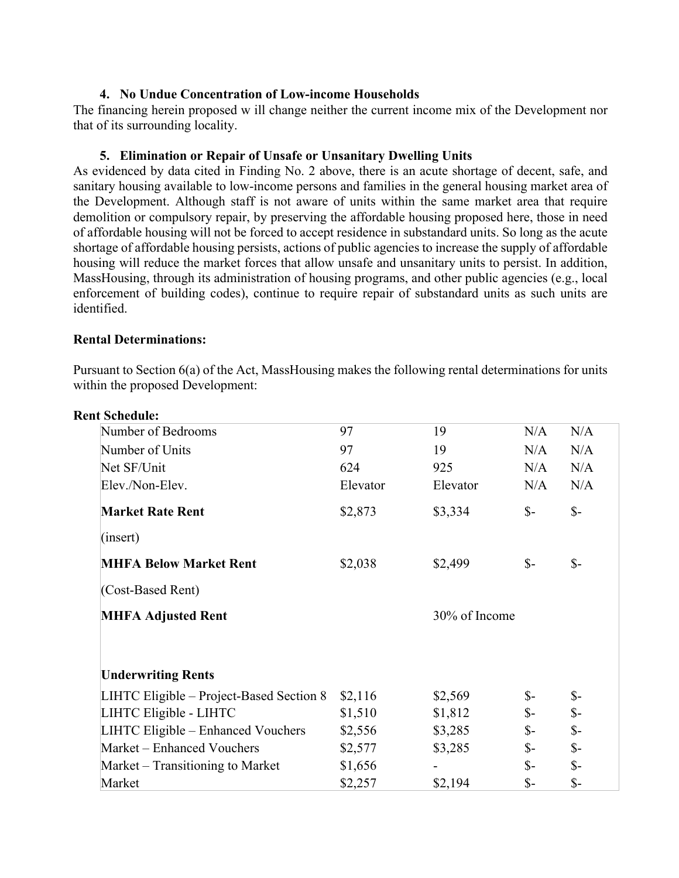### **4. No Undue Concentration of Low-income Households**

The financing herein proposed w ill change neither the current income mix of the Development nor that of its surrounding locality.

### **5. Elimination or Repair of Unsafe or Unsanitary Dwelling Units**

As evidenced by data cited in Finding No. 2 above, there is an acute shortage of decent, safe, and sanitary housing available to low-income persons and families in the general housing market area of the Development. Although staff is not aware of units within the same market area that require demolition or compulsory repair, by preserving the affordable housing proposed here, those in need of affordable housing will not be forced to accept residence in substandard units. So long as the acute shortage of affordable housing persists, actions of public agencies to increase the supply of affordable housing will reduce the market forces that allow unsafe and unsanitary units to persist. In addition, MassHousing, through its administration of housing programs, and other public agencies (e.g., local enforcement of building codes), continue to require repair of substandard units as such units are identified.

### **Rental Determinations:**

Pursuant to Section 6(a) of the Act, MassHousing makes the following rental determinations for units within the proposed Development:

| <b>Rent Schedule:</b>                    |          |          |                 |                 |  |
|------------------------------------------|----------|----------|-----------------|-----------------|--|
| Number of Bedrooms                       | 97       | 19       | N/A             | N/A             |  |
| Number of Units                          | 97       | 19       | N/A             | N/A             |  |
| Net SF/Unit                              | 624      | 925      | N/A             | N/A             |  |
| Elev./Non-Elev.                          | Elevator | Elevator | N/A             | N/A             |  |
| <b>Market Rate Rent</b>                  | \$2,873  | \$3,334  | $\mathcal{S}$ - | $\mathcal{S}$ - |  |
| (insert)                                 |          |          |                 |                 |  |
| <b>MHFA Below Market Rent</b>            | \$2,038  | \$2,499  | $\mathcal{S}$ - | $S-$            |  |
| (Cost-Based Rent)                        |          |          |                 |                 |  |
| <b>MHFA Adjusted Rent</b>                |          |          | 30% of Income   |                 |  |
| <b>Underwriting Rents</b>                |          |          |                 |                 |  |
| LIHTC Eligible - Project-Based Section 8 | \$2,116  | \$2,569  | \$-             | $S-$            |  |
| LIHTC Eligible - LIHTC                   | \$1,510  | \$1,812  | $\mathbb{S}$ -  | $\mathcal{S}$ - |  |
| LIHTC Eligible – Enhanced Vouchers       | \$2,556  | \$3,285  | $\mathcal{S}$ - | $\mathcal{S}$ - |  |
| Market - Enhanced Vouchers               | \$2,577  | \$3,285  | $S-$            | $\mathcal{S}$ - |  |
| Market – Transitioning to Market         | \$1,656  |          | $S-$            | $\mathcal{S}$ - |  |
| Market                                   | \$2,257  | \$2,194  | $S-$            | $S-$            |  |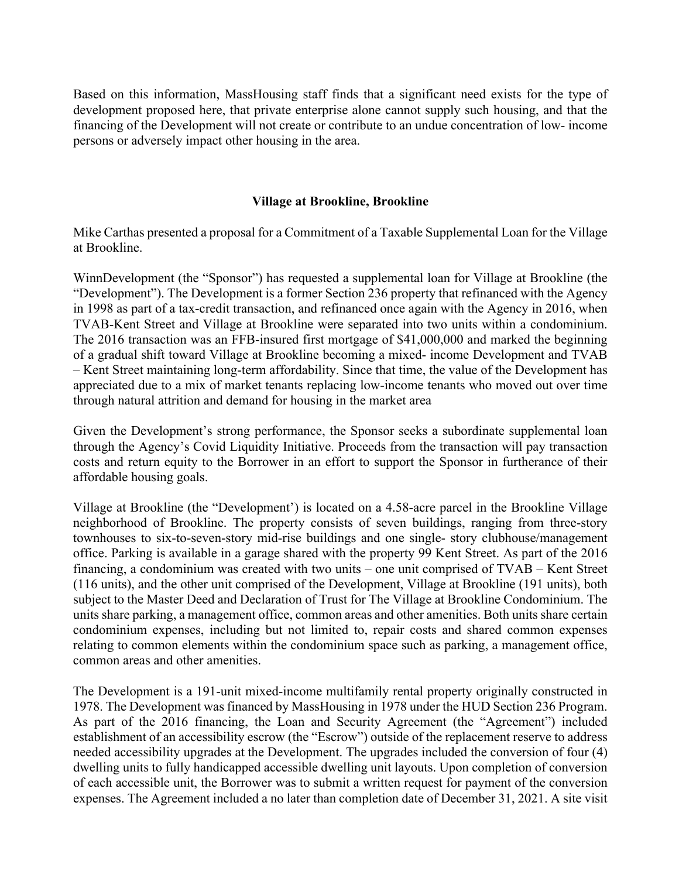Based on this information, MassHousing staff finds that a significant need exists for the type of development proposed here, that private enterprise alone cannot supply such housing, and that the financing of the Development will not create or contribute to an undue concentration of low- income persons or adversely impact other housing in the area.

### **Village at Brookline, Brookline**

Mike Carthas presented a proposal for a Commitment of a Taxable Supplemental Loan for the Village at Brookline.

WinnDevelopment (the "Sponsor") has requested a supplemental loan for Village at Brookline (the "Development"). The Development is a former Section 236 property that refinanced with the Agency in 1998 as part of a tax-credit transaction, and refinanced once again with the Agency in 2016, when TVAB-Kent Street and Village at Brookline were separated into two units within a condominium. The 2016 transaction was an FFB-insured first mortgage of \$41,000,000 and marked the beginning of a gradual shift toward Village at Brookline becoming a mixed- income Development and TVAB – Kent Street maintaining long-term affordability. Since that time, the value of the Development has appreciated due to a mix of market tenants replacing low-income tenants who moved out over time through natural attrition and demand for housing in the market area

Given the Development's strong performance, the Sponsor seeks a subordinate supplemental loan through the Agency's Covid Liquidity Initiative. Proceeds from the transaction will pay transaction costs and return equity to the Borrower in an effort to support the Sponsor in furtherance of their affordable housing goals.

Village at Brookline (the "Development') is located on a 4.58-acre parcel in the Brookline Village neighborhood of Brookline. The property consists of seven buildings, ranging from three-story townhouses to six-to-seven-story mid-rise buildings and one single- story clubhouse/management office. Parking is available in a garage shared with the property 99 Kent Street. As part of the 2016 financing, a condominium was created with two units – one unit comprised of TVAB – Kent Street (116 units), and the other unit comprised of the Development, Village at Brookline (191 units), both subject to the Master Deed and Declaration of Trust for The Village at Brookline Condominium. The units share parking, a management office, common areas and other amenities. Both units share certain condominium expenses, including but not limited to, repair costs and shared common expenses relating to common elements within the condominium space such as parking, a management office, common areas and other amenities.

The Development is a 191-unit mixed-income multifamily rental property originally constructed in 1978. The Development was financed by MassHousing in 1978 under the HUD Section 236 Program. As part of the 2016 financing, the Loan and Security Agreement (the "Agreement") included establishment of an accessibility escrow (the "Escrow") outside of the replacement reserve to address needed accessibility upgrades at the Development. The upgrades included the conversion of four (4) dwelling units to fully handicapped accessible dwelling unit layouts. Upon completion of conversion of each accessible unit, the Borrower was to submit a written request for payment of the conversion expenses. The Agreement included a no later than completion date of December 31, 2021. A site visit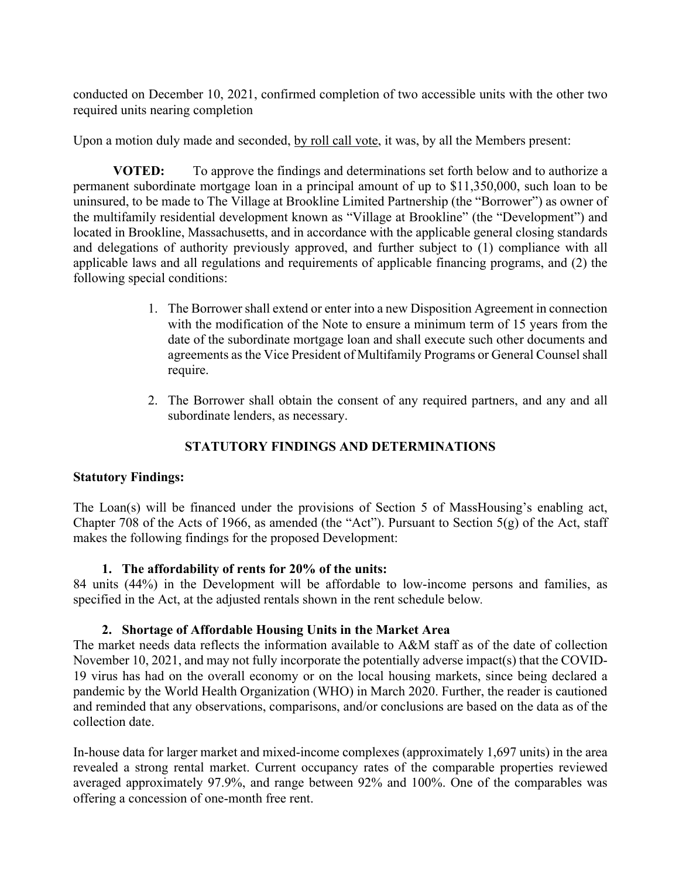conducted on December 10, 2021, confirmed completion of two accessible units with the other two required units nearing completion

Upon a motion duly made and seconded, by roll call vote, it was, by all the Members present:

 **VOTED:** To approve the findings and determinations set forth below and to authorize a permanent subordinate mortgage loan in a principal amount of up to \$11,350,000, such loan to be uninsured, to be made to The Village at Brookline Limited Partnership (the "Borrower") as owner of the multifamily residential development known as "Village at Brookline" (the "Development") and located in Brookline, Massachusetts, and in accordance with the applicable general closing standards and delegations of authority previously approved, and further subject to (1) compliance with all applicable laws and all regulations and requirements of applicable financing programs, and (2) the following special conditions:

- 1. The Borrower shall extend or enter into a new Disposition Agreement in connection with the modification of the Note to ensure a minimum term of 15 years from the date of the subordinate mortgage loan and shall execute such other documents and agreements as the Vice President of Multifamily Programs or General Counsel shall require.
- 2. The Borrower shall obtain the consent of any required partners, and any and all subordinate lenders, as necessary.

# **STATUTORY FINDINGS AND DETERMINATIONS**

# **Statutory Findings:**

The Loan(s) will be financed under the provisions of Section 5 of MassHousing's enabling act, Chapter 708 of the Acts of 1966, as amended (the "Act"). Pursuant to Section 5(g) of the Act, staff makes the following findings for the proposed Development:

# **1. The affordability of rents for 20% of the units:**

84 units (44%) in the Development will be affordable to low-income persons and families, as specified in the Act, at the adjusted rentals shown in the rent schedule below*.* 

# **2. Shortage of Affordable Housing Units in the Market Area**

The market needs data reflects the information available to A&M staff as of the date of collection November 10, 2021, and may not fully incorporate the potentially adverse impact(s) that the COVID-19 virus has had on the overall economy or on the local housing markets, since being declared a pandemic by the World Health Organization (WHO) in March 2020. Further, the reader is cautioned and reminded that any observations, comparisons, and/or conclusions are based on the data as of the collection date.

In-house data for larger market and mixed-income complexes (approximately 1,697 units) in the area revealed a strong rental market. Current occupancy rates of the comparable properties reviewed averaged approximately 97.9%, and range between 92% and 100%. One of the comparables was offering a concession of one-month free rent.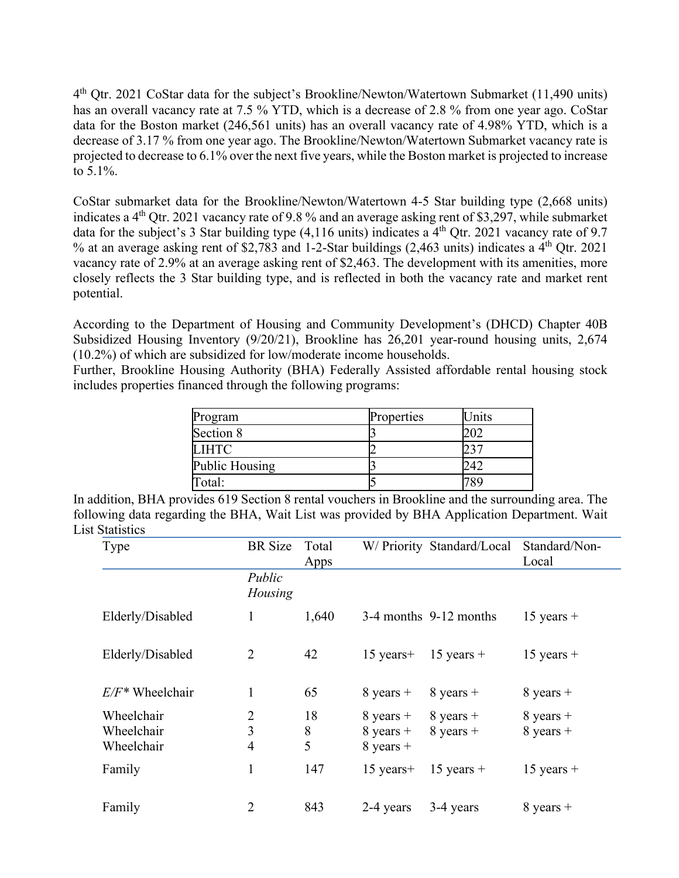4th Qtr. 2021 CoStar data for the subject's Brookline/Newton/Watertown Submarket (11,490 units) has an overall vacancy rate at 7.5 % YTD, which is a decrease of 2.8 % from one year ago. CoStar data for the Boston market (246,561 units) has an overall vacancy rate of 4.98% YTD, which is a decrease of 3.17 % from one year ago. The Brookline/Newton/Watertown Submarket vacancy rate is projected to decrease to 6.1% over the next five years, while the Boston market is projected to increase to 5.1%.

CoStar submarket data for the Brookline/Newton/Watertown 4-5 Star building type (2,668 units) indicates a 4th Qtr. 2021 vacancy rate of 9.8 % and an average asking rent of \$3,297, while submarket data for the subject's 3 Star building type  $(4,116 \text{ units})$  indicates a 4<sup>th</sup> Otr. 2021 vacancy rate of 9.7 % at an average asking rent of \$2,783 and 1-2-Star buildings (2,463 units) indicates a  $4<sup>th</sup>$  Qtr. 2021 vacancy rate of 2.9% at an average asking rent of \$2,463. The development with its amenities, more closely reflects the 3 Star building type, and is reflected in both the vacancy rate and market rent potential.

According to the Department of Housing and Community Development's (DHCD) Chapter 40B Subsidized Housing Inventory (9/20/21), Brookline has 26,201 year-round housing units, 2,674 (10.2%) of which are subsidized for low/moderate income households.

Further, Brookline Housing Authority (BHA) Federally Assisted affordable rental housing stock includes properties financed through the following programs:

| Program        | Properties | Units |
|----------------|------------|-------|
| Section 8      |            |       |
| <b>LIHTC</b>   |            |       |
| Public Housing |            | 24.   |
| Total:         |            |       |

In addition, BHA provides 619 Section 8 rental vouchers in Brookline and the surrounding area. The following data regarding the BHA, Wait List was provided by BHA Application Department. Wait List Statistics

| Type                                   | <b>BR</b> Size                        | Total<br>Apps |                                           | W/ Priority Standard/Local | Standard/Non-<br>Local     |
|----------------------------------------|---------------------------------------|---------------|-------------------------------------------|----------------------------|----------------------------|
|                                        | Public<br>Housing                     |               |                                           |                            |                            |
| Elderly/Disabled                       |                                       | 1,640         |                                           | 3-4 months 9-12 months     | $15$ years +               |
| Elderly/Disabled                       | 2                                     | 42            | $15$ years+                               | $15$ years +               | $15$ years +               |
| $E/F^*$ Wheelchair                     |                                       | 65            | $8$ years +                               | $8$ years +                | $8$ years +                |
| Wheelchair<br>Wheelchair<br>Wheelchair | $\overline{2}$<br>3<br>$\overline{4}$ | 18<br>8<br>5  | $8$ years +<br>$8$ years +<br>$8$ years + | $8$ years +<br>$8$ years + | $8$ years +<br>$8$ years + |
| Family                                 | $\mathbf{1}$                          | 147           | $15$ years+                               | $15$ years +               | $15$ years +               |
| Family                                 | $\overline{2}$                        | 843           | 2-4 years                                 | 3-4 years                  | $8$ years +                |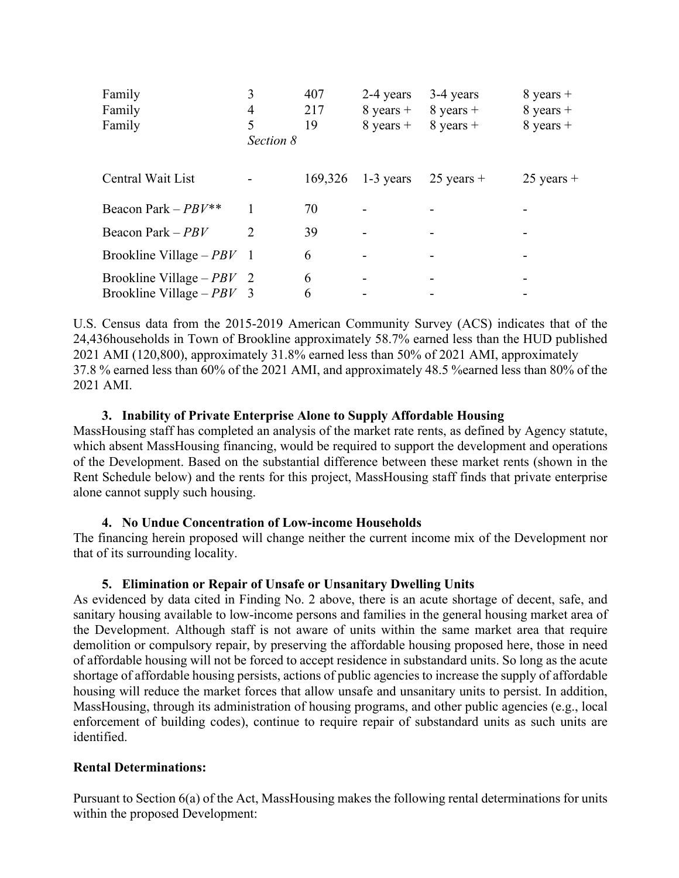| Family                                                     |                | 407     | 2-4 years     | 3-4 years    | $8$ years +  |
|------------------------------------------------------------|----------------|---------|---------------|--------------|--------------|
| Family                                                     | 4              | 217     | $8$ years +   | $8$ years +  | $8$ years +  |
| Family                                                     | 5<br>Section 8 | 19      | $8$ years $+$ | $8$ years +  | $8$ years +  |
| Central Wait List                                          |                | 169,326 | $1-3$ years   | $25$ years + | $25$ years + |
| Beacon Park – $PBV^{**}$                                   |                | 70      |               |              |              |
| Beacon Park $-PBV$                                         | $\mathcal{D}$  | 39      |               |              |              |
| Brookline Village $-PBY$ 1                                 |                | 6       |               |              |              |
| Brookline Village – $PBV$ 2<br>Brookline Village – $PBV$ 3 |                | 6<br>6  |               |              |              |

U.S. Census data from the 2015-2019 American Community Survey (ACS) indicates that of the 24,436households in Town of Brookline approximately 58.7% earned less than the HUD published 2021 AMI (120,800), approximately 31.8% earned less than 50% of 2021 AMI, approximately 37.8 % earned less than 60% of the 2021 AMI, and approximately 48.5 %earned less than 80% of the 2021 AMI.

### **3. Inability of Private Enterprise Alone to Supply Affordable Housing**

MassHousing staff has completed an analysis of the market rate rents, as defined by Agency statute, which absent MassHousing financing, would be required to support the development and operations of the Development. Based on the substantial difference between these market rents (shown in the Rent Schedule below) and the rents for this project, MassHousing staff finds that private enterprise alone cannot supply such housing.

### **4. No Undue Concentration of Low-income Households**

The financing herein proposed will change neither the current income mix of the Development nor that of its surrounding locality.

### **5. Elimination or Repair of Unsafe or Unsanitary Dwelling Units**

As evidenced by data cited in Finding No. 2 above, there is an acute shortage of decent, safe, and sanitary housing available to low-income persons and families in the general housing market area of the Development. Although staff is not aware of units within the same market area that require demolition or compulsory repair, by preserving the affordable housing proposed here, those in need of affordable housing will not be forced to accept residence in substandard units. So long as the acute shortage of affordable housing persists, actions of public agencies to increase the supply of affordable housing will reduce the market forces that allow unsafe and unsanitary units to persist. In addition, MassHousing, through its administration of housing programs, and other public agencies (e.g., local enforcement of building codes), continue to require repair of substandard units as such units are identified.

# **Rental Determinations:**

Pursuant to Section 6(a) of the Act, MassHousing makes the following rental determinations for units within the proposed Development: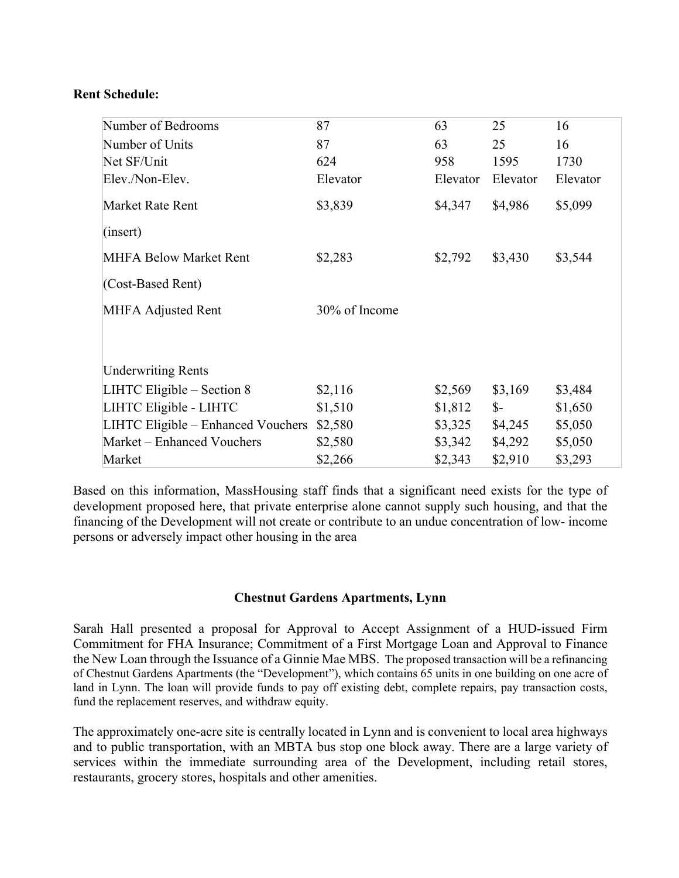### **Rent Schedule:**

| Number of Bedrooms                 | 87            | 63       | 25              | 16       |
|------------------------------------|---------------|----------|-----------------|----------|
| Number of Units                    | 87            | 63       | 25              | 16       |
| Net SF/Unit                        | 624           | 958      | 1595            | 1730     |
| Elev./Non-Elev.                    | Elevator      | Elevator | Elevator        | Elevator |
| Market Rate Rent                   | \$3,839       | \$4,347  | \$4,986         | \$5,099  |
| (insert)                           |               |          |                 |          |
| <b>MHFA Below Market Rent</b>      | \$2,283       | \$2,792  | \$3,430         | \$3,544  |
| (Cost-Based Rent)                  |               |          |                 |          |
| <b>MHFA Adjusted Rent</b>          | 30% of Income |          |                 |          |
|                                    |               |          |                 |          |
| <b>Underwriting Rents</b>          |               |          |                 |          |
| LIHTC Eligible $-$ Section 8       | \$2,116       | \$2,569  | \$3,169         | \$3,484  |
| LIHTC Eligible - LIHTC             | \$1,510       | \$1,812  | $\mathcal{S}$ - | \$1,650  |
| LIHTC Eligible - Enhanced Vouchers | \$2,580       | \$3,325  | \$4,245         | \$5,050  |
| Market – Enhanced Vouchers         | \$2,580       | \$3,342  | \$4,292         | \$5,050  |
| Market                             | \$2,266       | \$2,343  | \$2,910         | \$3,293  |

Based on this information, MassHousing staff finds that a significant need exists for the type of development proposed here, that private enterprise alone cannot supply such housing, and that the financing of the Development will not create or contribute to an undue concentration of low- income persons or adversely impact other housing in the area

### **Chestnut Gardens Apartments, Lynn**

Sarah Hall presented a proposal for Approval to Accept Assignment of a HUD-issued Firm Commitment for FHA Insurance; Commitment of a First Mortgage Loan and Approval to Finance the New Loan through the Issuance of a Ginnie Mae MBS. The proposed transaction will be a refinancing of Chestnut Gardens Apartments (the "Development"), which contains 65 units in one building on one acre of land in Lynn. The loan will provide funds to pay off existing debt, complete repairs, pay transaction costs, fund the replacement reserves, and withdraw equity.

The approximately one-acre site is centrally located in Lynn and is convenient to local area highways and to public transportation, with an MBTA bus stop one block away. There are a large variety of services within the immediate surrounding area of the Development, including retail stores, restaurants, grocery stores, hospitals and other amenities.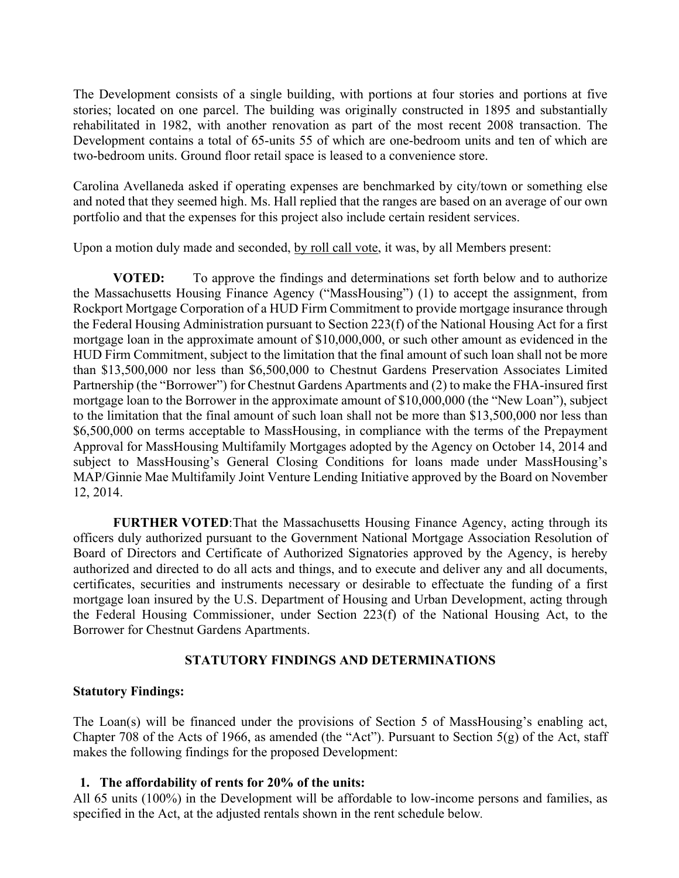The Development consists of a single building, with portions at four stories and portions at five stories; located on one parcel. The building was originally constructed in 1895 and substantially rehabilitated in 1982, with another renovation as part of the most recent 2008 transaction. The Development contains a total of 65-units 55 of which are one-bedroom units and ten of which are two-bedroom units. Ground floor retail space is leased to a convenience store.

Carolina Avellaneda asked if operating expenses are benchmarked by city/town or something else and noted that they seemed high. Ms. Hall replied that the ranges are based on an average of our own portfolio and that the expenses for this project also include certain resident services.

Upon a motion duly made and seconded, by roll call vote, it was, by all Members present:

 **VOTED:** To approve the findings and determinations set forth below and to authorize the Massachusetts Housing Finance Agency ("MassHousing") (1) to accept the assignment, from Rockport Mortgage Corporation of a HUD Firm Commitment to provide mortgage insurance through the Federal Housing Administration pursuant to Section 223(f) of the National Housing Act for a first mortgage loan in the approximate amount of \$10,000,000, or such other amount as evidenced in the HUD Firm Commitment, subject to the limitation that the final amount of such loan shall not be more than \$13,500,000 nor less than \$6,500,000 to Chestnut Gardens Preservation Associates Limited Partnership (the "Borrower") for Chestnut Gardens Apartments and (2) to make the FHA-insured first mortgage loan to the Borrower in the approximate amount of \$10,000,000 (the "New Loan"), subject to the limitation that the final amount of such loan shall not be more than \$13,500,000 nor less than \$6,500,000 on terms acceptable to MassHousing, in compliance with the terms of the Prepayment Approval for MassHousing Multifamily Mortgages adopted by the Agency on October 14, 2014 and subject to MassHousing's General Closing Conditions for loans made under MassHousing's MAP/Ginnie Mae Multifamily Joint Venture Lending Initiative approved by the Board on November 12, 2014.

**FURTHER VOTED:** That the Massachusetts Housing Finance Agency, acting through its officers duly authorized pursuant to the Government National Mortgage Association Resolution of Board of Directors and Certificate of Authorized Signatories approved by the Agency, is hereby authorized and directed to do all acts and things, and to execute and deliver any and all documents, certificates, securities and instruments necessary or desirable to effectuate the funding of a first mortgage loan insured by the U.S. Department of Housing and Urban Development, acting through the Federal Housing Commissioner, under Section 223(f) of the National Housing Act, to the Borrower for Chestnut Gardens Apartments.

# **STATUTORY FINDINGS AND DETERMINATIONS**

# **Statutory Findings:**

The Loan(s) will be financed under the provisions of Section 5 of MassHousing's enabling act, Chapter 708 of the Acts of 1966, as amended (the "Act"). Pursuant to Section 5(g) of the Act, staff makes the following findings for the proposed Development:

# **1. The affordability of rents for 20% of the units:**

All 65 units (100%) in the Development will be affordable to low-income persons and families, as specified in the Act, at the adjusted rentals shown in the rent schedule below*.*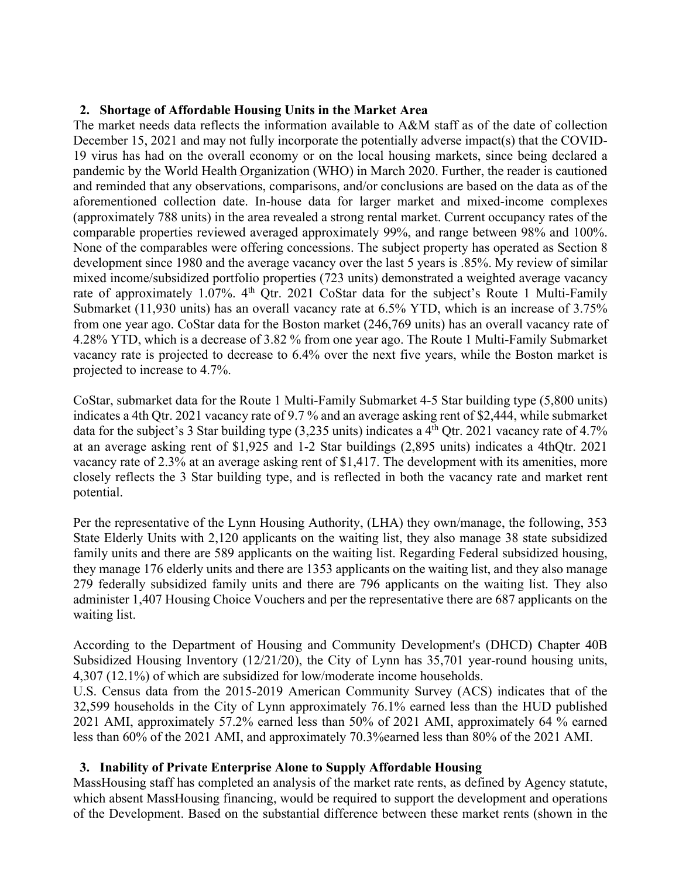# **2. Shortage of Affordable Housing Units in the Market Area**

The market needs data reflects the information available to A&M staff as of the date of collection December 15, 2021 and may not fully incorporate the potentially adverse impact(s) that the COVID-19 virus has had on the overall economy or on the local housing markets, since being declared a pandemic by the World Health Organization (WHO) in March 2020. Further, the reader is cautioned and reminded that any observations, comparisons, and/or conclusions are based on the data as of the aforementioned collection date. In-house data for larger market and mixed-income complexes (approximately 788 units) in the area revealed a strong rental market. Current occupancy rates of the comparable properties reviewed averaged approximately 99%, and range between 98% and 100%. None of the comparables were offering concessions. The subject property has operated as Section 8 development since 1980 and the average vacancy over the last 5 years is .85%. My review of similar mixed income/subsidized portfolio properties (723 units) demonstrated a weighted average vacancy rate of approximately 1.07%. 4<sup>th</sup> Qtr. 2021 CoStar data for the subject's Route 1 Multi-Family Submarket (11,930 units) has an overall vacancy rate at 6.5% YTD, which is an increase of 3.75% from one year ago. CoStar data for the Boston market (246,769 units) has an overall vacancy rate of 4.28% YTD, which is a decrease of 3.82 % from one year ago. The Route 1 Multi-Family Submarket vacancy rate is projected to decrease to 6.4% over the next five years, while the Boston market is projected to increase to 4.7%.

CoStar, submarket data for the Route 1 Multi-Family Submarket 4-5 Star building type (5,800 units) indicates a 4th Qtr. 2021 vacancy rate of 9.7 % and an average asking rent of \$2,444, while submarket data for the subject's 3 Star building type  $(3,235 \text{ units})$  indicates a  $4^{\text{th}}$  Qtr. 2021 vacancy rate of 4.7% at an average asking rent of \$1,925 and 1-2 Star buildings (2,895 units) indicates a 4thQtr. 2021 vacancy rate of 2.3% at an average asking rent of \$1,417. The development with its amenities, more closely reflects the 3 Star building type, and is reflected in both the vacancy rate and market rent potential.

Per the representative of the Lynn Housing Authority, (LHA) they own/manage, the following, 353 State Elderly Units with 2,120 applicants on the waiting list, they also manage 38 state subsidized family units and there are 589 applicants on the waiting list. Regarding Federal subsidized housing, they manage 176 elderly units and there are 1353 applicants on the waiting list, and they also manage 279 federally subsidized family units and there are 796 applicants on the waiting list. They also administer 1,407 Housing Choice Vouchers and per the representative there are 687 applicants on the waiting list.

According to the Department of Housing and Community Development's (DHCD) Chapter 40B Subsidized Housing Inventory (12/21/20), the City of Lynn has 35,701 year-round housing units, 4,307 (12.1%) of which are subsidized for low/moderate income households.

U.S. Census data from the 2015-2019 American Community Survey (ACS) indicates that of the 32,599 households in the City of Lynn approximately 76.1% earned less than the HUD published 2021 AMI, approximately 57.2% earned less than 50% of 2021 AMI, approximately 64 % earned less than 60% of the 2021 AMI, and approximately 70.3%earned less than 80% of the 2021 AMI.

# **3. Inability of Private Enterprise Alone to Supply Affordable Housing**

MassHousing staff has completed an analysis of the market rate rents, as defined by Agency statute, which absent MassHousing financing, would be required to support the development and operations of the Development. Based on the substantial difference between these market rents (shown in the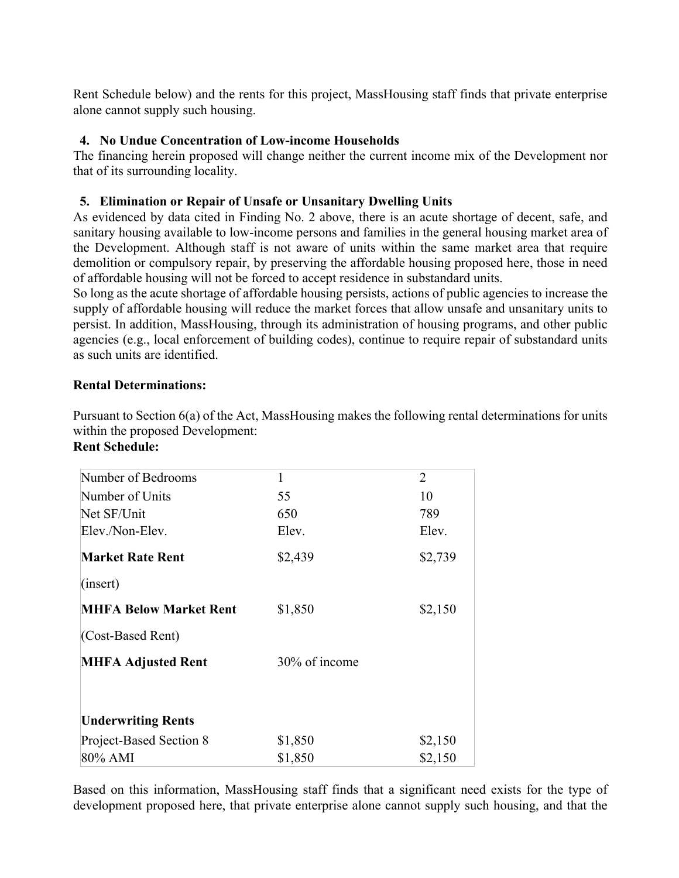Rent Schedule below) and the rents for this project, MassHousing staff finds that private enterprise alone cannot supply such housing.

# **4. No Undue Concentration of Low-income Households**

The financing herein proposed will change neither the current income mix of the Development nor that of its surrounding locality.

# **5. Elimination or Repair of Unsafe or Unsanitary Dwelling Units**

As evidenced by data cited in Finding No. 2 above, there is an acute shortage of decent, safe, and sanitary housing available to low-income persons and families in the general housing market area of the Development. Although staff is not aware of units within the same market area that require demolition or compulsory repair, by preserving the affordable housing proposed here, those in need of affordable housing will not be forced to accept residence in substandard units.

So long as the acute shortage of affordable housing persists, actions of public agencies to increase the supply of affordable housing will reduce the market forces that allow unsafe and unsanitary units to persist. In addition, MassHousing, through its administration of housing programs, and other public agencies (e.g., local enforcement of building codes), continue to require repair of substandard units as such units are identified.

# **Rental Determinations:**

Pursuant to Section 6(a) of the Act, MassHousing makes the following rental determinations for units within the proposed Development: **Rent Schedule:** 

| Number of Bedrooms            | 1             | 2       |
|-------------------------------|---------------|---------|
| Number of Units               | 55            | 10      |
| Net SF/Unit                   | 650           | 789     |
| Elev./Non-Elev.               | Elev.         | Elev.   |
| <b>Market Rate Rent</b>       | \$2,439       | \$2,739 |
| (insert)                      |               |         |
| <b>MHFA Below Market Rent</b> | \$1,850       | \$2,150 |
| (Cost-Based Rent)             |               |         |
| <b>MHFA Adjusted Rent</b>     | 30% of income |         |
| <b>Underwriting Rents</b>     |               |         |
| Project-Based Section 8       | \$1,850       | \$2,150 |
| 80% AMI                       | \$1,850       | \$2,150 |

Based on this information, MassHousing staff finds that a significant need exists for the type of development proposed here, that private enterprise alone cannot supply such housing, and that the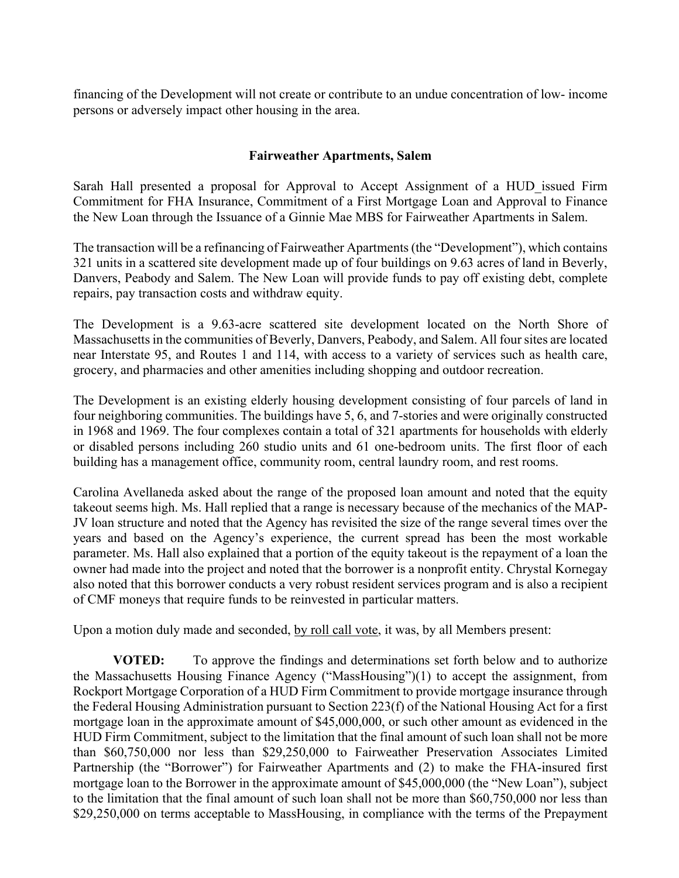financing of the Development will not create or contribute to an undue concentration of low- income persons or adversely impact other housing in the area.

# **Fairweather Apartments, Salem**

Sarah Hall presented a proposal for Approval to Accept Assignment of a HUD issued Firm Commitment for FHA Insurance, Commitment of a First Mortgage Loan and Approval to Finance the New Loan through the Issuance of a Ginnie Mae MBS for Fairweather Apartments in Salem.

The transaction will be a refinancing of Fairweather Apartments (the "Development"), which contains 321 units in a scattered site development made up of four buildings on 9.63 acres of land in Beverly, Danvers, Peabody and Salem. The New Loan will provide funds to pay off existing debt, complete repairs, pay transaction costs and withdraw equity.

The Development is a 9.63-acre scattered site development located on the North Shore of Massachusetts in the communities of Beverly, Danvers, Peabody, and Salem. All four sites are located near Interstate 95, and Routes 1 and 114, with access to a variety of services such as health care, grocery, and pharmacies and other amenities including shopping and outdoor recreation.

The Development is an existing elderly housing development consisting of four parcels of land in four neighboring communities. The buildings have 5, 6, and 7-stories and were originally constructed in 1968 and 1969. The four complexes contain a total of 321 apartments for households with elderly or disabled persons including 260 studio units and 61 one-bedroom units. The first floor of each building has a management office, community room, central laundry room, and rest rooms.

Carolina Avellaneda asked about the range of the proposed loan amount and noted that the equity takeout seems high. Ms. Hall replied that a range is necessary because of the mechanics of the MAP-JV loan structure and noted that the Agency has revisited the size of the range several times over the years and based on the Agency's experience, the current spread has been the most workable parameter. Ms. Hall also explained that a portion of the equity takeout is the repayment of a loan the owner had made into the project and noted that the borrower is a nonprofit entity. Chrystal Kornegay also noted that this borrower conducts a very robust resident services program and is also a recipient of CMF moneys that require funds to be reinvested in particular matters.

Upon a motion duly made and seconded, by roll call vote, it was, by all Members present:

**VOTED:** To approve the findings and determinations set forth below and to authorize the Massachusetts Housing Finance Agency ("MassHousing")(1) to accept the assignment, from Rockport Mortgage Corporation of a HUD Firm Commitment to provide mortgage insurance through the Federal Housing Administration pursuant to Section 223(f) of the National Housing Act for a first mortgage loan in the approximate amount of \$45,000,000, or such other amount as evidenced in the HUD Firm Commitment, subject to the limitation that the final amount of such loan shall not be more than \$60,750,000 nor less than \$29,250,000 to Fairweather Preservation Associates Limited Partnership (the "Borrower") for Fairweather Apartments and (2) to make the FHA-insured first mortgage loan to the Borrower in the approximate amount of \$45,000,000 (the "New Loan"), subject to the limitation that the final amount of such loan shall not be more than \$60,750,000 nor less than \$29,250,000 on terms acceptable to MassHousing, in compliance with the terms of the Prepayment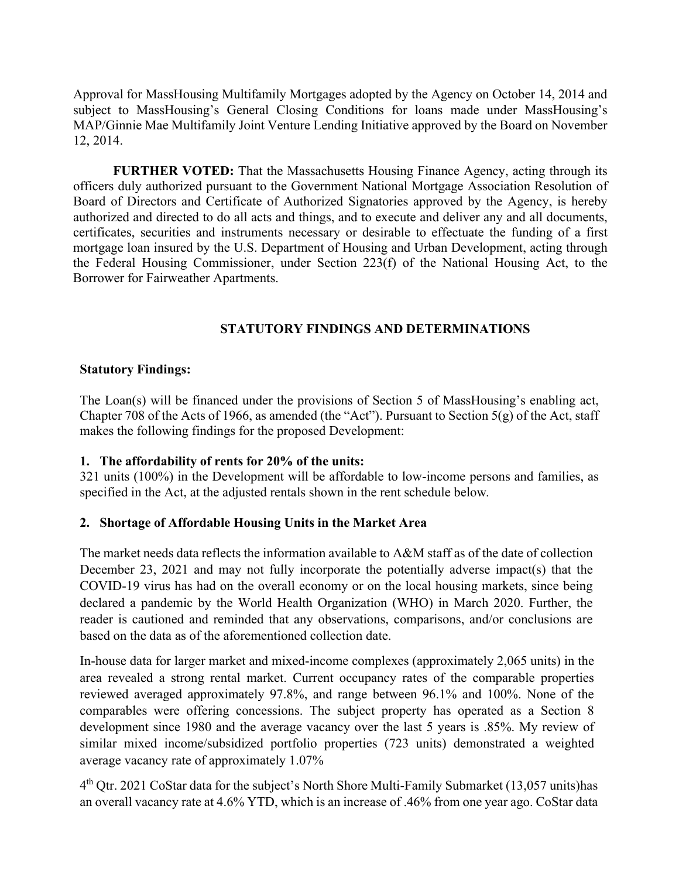Approval for MassHousing Multifamily Mortgages adopted by the Agency on October 14, 2014 and subject to MassHousing's General Closing Conditions for loans made under MassHousing's MAP/Ginnie Mae Multifamily Joint Venture Lending Initiative approved by the Board on November 12, 2014.

**FURTHER VOTED:** That the Massachusetts Housing Finance Agency, acting through its officers duly authorized pursuant to the Government National Mortgage Association Resolution of Board of Directors and Certificate of Authorized Signatories approved by the Agency, is hereby authorized and directed to do all acts and things, and to execute and deliver any and all documents, certificates, securities and instruments necessary or desirable to effectuate the funding of a first mortgage loan insured by the U.S. Department of Housing and Urban Development, acting through the Federal Housing Commissioner, under Section 223(f) of the National Housing Act, to the Borrower for Fairweather Apartments.

# **STATUTORY FINDINGS AND DETERMINATIONS**

### **Statutory Findings:**

The Loan(s) will be financed under the provisions of Section 5 of MassHousing's enabling act, Chapter 708 of the Acts of 1966, as amended (the "Act"). Pursuant to Section 5(g) of the Act, staff makes the following findings for the proposed Development:

# **1. The affordability of rents for 20% of the units:**

321 units (100%) in the Development will be affordable to low-income persons and families, as specified in the Act, at the adjusted rentals shown in the rent schedule below*.* 

# **2. Shortage of Affordable Housing Units in the Market Area**

The market needs data reflects the information available to A&M staff as of the date of collection December 23, 2021 and may not fully incorporate the potentially adverse impact(s) that the COVID-19 virus has had on the overall economy or on the local housing markets, since being declared a pandemic by the World Health Organization (WHO) in March 2020. Further, the reader is cautioned and reminded that any observations, comparisons, and/or conclusions are based on the data as of the aforementioned collection date.

In-house data for larger market and mixed-income complexes (approximately 2,065 units) in the area revealed a strong rental market. Current occupancy rates of the comparable properties reviewed averaged approximately 97.8%, and range between 96.1% and 100%. None of the comparables were offering concessions. The subject property has operated as a Section 8 development since 1980 and the average vacancy over the last 5 years is .85%. My review of similar mixed income/subsidized portfolio properties (723 units) demonstrated a weighted average vacancy rate of approximately 1.07%

 $4<sup>th</sup>$  Qtr. 2021 CoStar data for the subject's North Shore Multi-Family Submarket (13,057 units) has an overall vacancy rate at 4.6% YTD, which is an increase of .46% from one year ago. CoStar data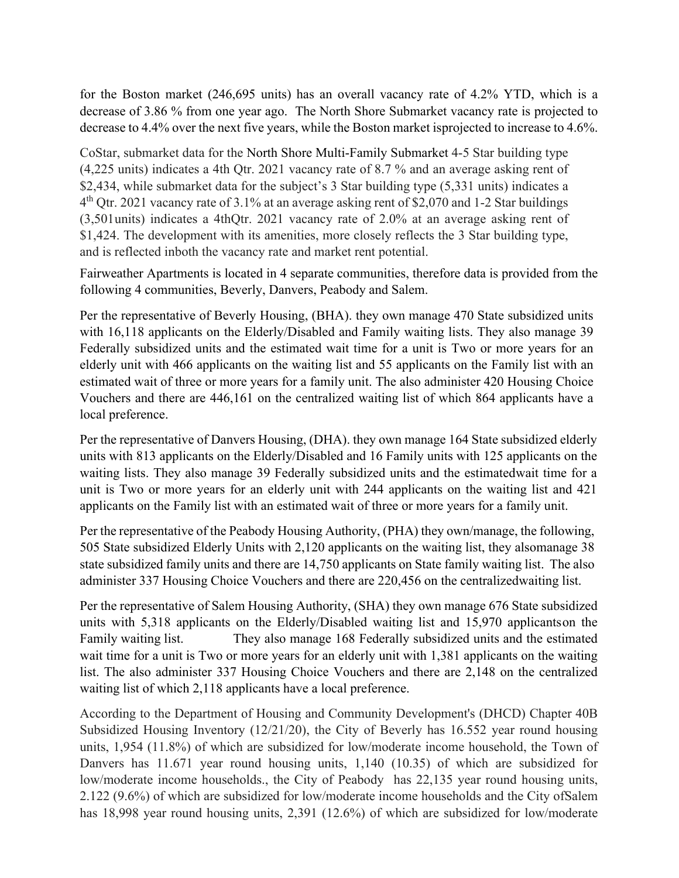for the Boston market (246,695 units) has an overall vacancy rate of 4.2% YTD, which is a decrease of 3.86 % from one year ago. The North Shore Submarket vacancy rate is projected to decrease to 4.4% over the next five years, while the Boston market is projected to increase to 4.6%.

CoStar, submarket data for the North Shore Multi-Family Submarket 4-5 Star building type (4,225 units) indicates a 4th Qtr. 2021 vacancy rate of 8.7 % and an average asking rent of \$2,434, while submarket data for the subject's 3 Star building type (5,331 units) indicates a  $4<sup>th</sup>$  Qtr. 2021 vacancy rate of 3.1% at an average asking rent of \$2,070 and 1-2 Star buildings (3,501 units) indicates a 4thQtr. 2021 vacancy rate of 2.0% at an average asking rent of \$1,424. The development with its amenities, more closely reflects the 3 Star building type, and is reflected inboth the vacancy rate and market rent potential.

Fairweather Apartments is located in 4 separate communities, therefore data is provided from the following 4 communities, Beverly, Danvers, Peabody and Salem.

Per the representative of Beverly Housing, (BHA). they own manage 470 State subsidized units with 16,118 applicants on the Elderly/Disabled and Family waiting lists. They also manage 39 Federally subsidized units and the estimated wait time for a unit is Two or more years for an elderly unit with 466 applicants on the waiting list and 55 applicants on the Family list with an estimated wait of three or more years for a family unit. The also administer 420 Housing Choice Vouchers and there are 446,161 on the centralized waiting list of which 864 applicants have a local preference.

Per the representative of Danvers Housing, (DHA). they own manage 164 State subsidized elderly units with 813 applicants on the Elderly/Disabled and 16 Family units with 125 applicants on the waiting lists. They also manage 39 Federally subsidized units and the estimated wait time for a unit is Two or more years for an elderly unit with 244 applicants on the waiting list and 421 applicants on the Family list with an estimated wait of three or more years for a family unit.

Per the representative of the Peabody Housing Authority, (PHA) they own/manage, the following, 505 State subsidized Elderly Units with 2,120 applicants on the waiting list, they alsomanage 38 state subsidized family units and there are 14,750 applicants on State family waiting list. The also administer 337 Housing Choice Vouchers and there are 220,456 on the centralized waiting list.

Per the representative of Salem Housing Authority, (SHA) they own manage 676 State subsidized units with 5,318 applicants on the Elderly/Disabled waiting list and 15,970 applicants on the Family waiting list. They also manage 168 Federally subsidized units and the estimated wait time for a unit is Two or more years for an elderly unit with 1,381 applicants on the waiting list. The also administer 337 Housing Choice Vouchers and there are 2,148 on the centralized waiting list of which 2,118 applicants have a local preference.

According to the Department of Housing and Community Development's (DHCD) Chapter 40B Subsidized Housing Inventory (12/21/20), the City of Beverly has 16.552 year round housing units, 1,954 (11.8%) of which are subsidized for low/moderate income household, the Town of Danvers has 11.671 year round housing units, 1,140 (10.35) of which are subsidized for low/moderate income households., the City of Peabody has 22,135 year round housing units, 2.122 (9.6%) of which are subsidized for low/moderate income households and the City of Salem has 18,998 year round housing units, 2,391 (12.6%) of which are subsidized for low/moderate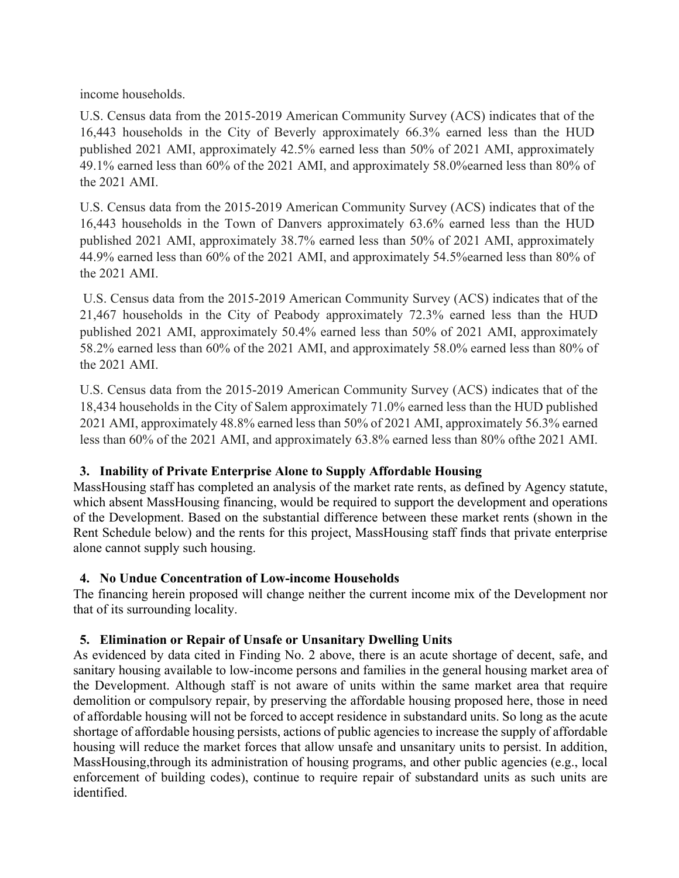income households.

U.S. Census data from the 2015-2019 American Community Survey (ACS) indicates that of the 16,443 households in the City of Beverly approximately 66.3% earned less than the HUD published 2021 AMI, approximately 42.5% earned less than 50% of 2021 AMI, approximately 49.1% earned less than 60% of the 2021 AMI, and approximately 58.0%earned less than 80% of the 2021 AMI.

U.S. Census data from the 2015-2019 American Community Survey (ACS) indicates that of the 16,443 households in the Town of Danvers approximately 63.6% earned less than the HUD published 2021 AMI, approximately 38.7% earned less than 50% of 2021 AMI, approximately 44.9% earned less than 60% of the 2021 AMI, and approximately 54.5%earned less than 80% of the 2021 AMI.

U.S. Census data from the 2015-2019 American Community Survey (ACS) indicates that of the 21,467 households in the City of Peabody approximately 72.3% earned less than the HUD published 2021 AMI, approximately 50.4% earned less than 50% of 2021 AMI, approximately 58.2% earned less than 60% of the 2021 AMI, and approximately 58.0% earned less than 80% of the 2021 AMI.

U.S. Census data from the 2015-2019 American Community Survey (ACS) indicates that of the 18,434 households in the City of Salem approximately 71.0% earned less than the HUD published 2021 AMI, approximately 48.8% earned less than 50% of 2021 AMI, approximately 56.3% earned less than 60% of the 2021 AMI, and approximately 63.8% earned less than 80% of the 2021 AMI.

# **3. Inability of Private Enterprise Alone to Supply Affordable Housing**

MassHousing staff has completed an analysis of the market rate rents, as defined by Agency statute, which absent MassHousing financing, would be required to support the development and operations of the Development. Based on the substantial difference between these market rents (shown in the Rent Schedule below) and the rents for this project, MassHousing staff finds that private enterprise alone cannot supply such housing.

# **4. No Undue Concentration of Low-income Households**

The financing herein proposed will change neither the current income mix of the Development nor that of its surrounding locality.

# **5. Elimination or Repair of Unsafe or Unsanitary Dwelling Units**

As evidenced by data cited in Finding No. 2 above, there is an acute shortage of decent, safe, and sanitary housing available to low-income persons and families in the general housing market area of the Development. Although staff is not aware of units within the same market area that require demolition or compulsory repair, by preserving the affordable housing proposed here, those in need of affordable housing will not be forced to accept residence in substandard units. So long as the acute shortage of affordable housing persists, actions of public agencies to increase the supply of affordable housing will reduce the market forces that allow unsafe and unsanitary units to persist. In addition, MassHousing,through its administration of housing programs, and other public agencies (e.g., local enforcement of building codes), continue to require repair of substandard units as such units are identified.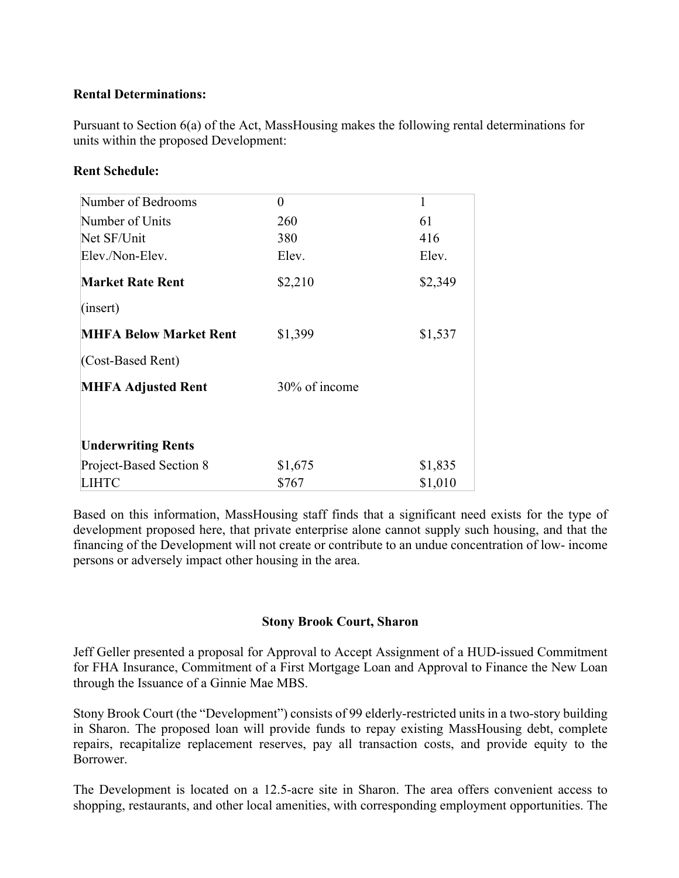# **Rental Determinations:**

Pursuant to Section 6(a) of the Act, MassHousing makes the following rental determinations for units within the proposed Development:

### **Rent Schedule:**

| Number of Bedrooms            | 0             | 1       |
|-------------------------------|---------------|---------|
| Number of Units               | 260           | 61      |
| Net SF/Unit                   | 380           | 416     |
| Elev./Non-Elev.               | Elev.         | Elev.   |
| <b>Market Rate Rent</b>       | \$2,210       | \$2,349 |
| (inset)                       |               |         |
| <b>MHFA Below Market Rent</b> | \$1,399       | \$1,537 |
| (Cost-Based Rent)             |               |         |
| <b>MHFA Adjusted Rent</b>     | 30% of income |         |
| <b>Underwriting Rents</b>     |               |         |
| Project-Based Section 8       | \$1,675       | \$1,835 |
| LIHTC                         | \$767         | \$1,010 |

Based on this information, MassHousing staff finds that a significant need exists for the type of development proposed here, that private enterprise alone cannot supply such housing, and that the financing of the Development will not create or contribute to an undue concentration of low- income persons or adversely impact other housing in the area.

### **Stony Brook Court, Sharon**

Jeff Geller presented a proposal for Approval to Accept Assignment of a HUD-issued Commitment for FHA Insurance, Commitment of a First Mortgage Loan and Approval to Finance the New Loan through the Issuance of a Ginnie Mae MBS.

Stony Brook Court (the "Development") consists of 99 elderly-restricted units in a two-story building in Sharon. The proposed loan will provide funds to repay existing MassHousing debt, complete repairs, recapitalize replacement reserves, pay all transaction costs, and provide equity to the Borrower.

The Development is located on a 12.5-acre site in Sharon. The area offers convenient access to shopping, restaurants, and other local amenities, with corresponding employment opportunities. The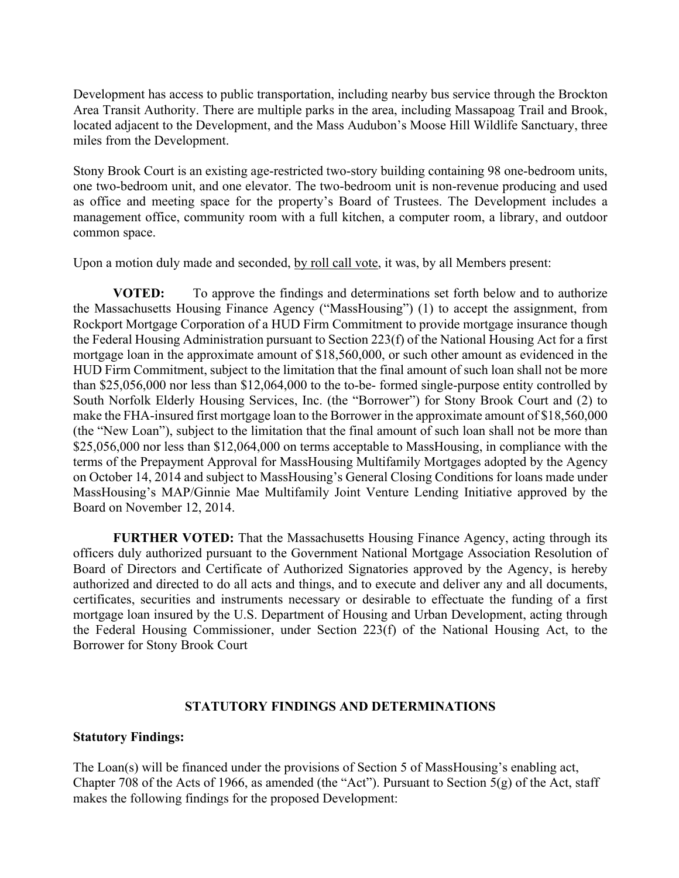Development has access to public transportation, including nearby bus service through the Brockton Area Transit Authority. There are multiple parks in the area, including Massapoag Trail and Brook, located adjacent to the Development, and the Mass Audubon's Moose Hill Wildlife Sanctuary, three miles from the Development.

Stony Brook Court is an existing age-restricted two-story building containing 98 one-bedroom units, one two-bedroom unit, and one elevator. The two-bedroom unit is non-revenue producing and used as office and meeting space for the property's Board of Trustees. The Development includes a management office, community room with a full kitchen, a computer room, a library, and outdoor common space.

Upon a motion duly made and seconded, by roll call vote, it was, by all Members present:

**VOTED:** To approve the findings and determinations set forth below and to authorize the Massachusetts Housing Finance Agency ("MassHousing") (1) to accept the assignment, from Rockport Mortgage Corporation of a HUD Firm Commitment to provide mortgage insurance though the Federal Housing Administration pursuant to Section 223(f) of the National Housing Act for a first mortgage loan in the approximate amount of \$18,560,000, or such other amount as evidenced in the HUD Firm Commitment, subject to the limitation that the final amount of such loan shall not be more than \$25,056,000 nor less than \$12,064,000 to the to-be- formed single-purpose entity controlled by South Norfolk Elderly Housing Services, Inc. (the "Borrower") for Stony Brook Court and (2) to make the FHA-insured first mortgage loan to the Borrower in the approximate amount of \$18,560,000 (the "New Loan"), subject to the limitation that the final amount of such loan shall not be more than \$25,056,000 nor less than \$12,064,000 on terms acceptable to MassHousing, in compliance with the terms of the Prepayment Approval for MassHousing Multifamily Mortgages adopted by the Agency on October 14, 2014 and subject to MassHousing's General Closing Conditions for loans made under MassHousing's MAP/Ginnie Mae Multifamily Joint Venture Lending Initiative approved by the Board on November 12, 2014.

**FURTHER VOTED:** That the Massachusetts Housing Finance Agency, acting through its officers duly authorized pursuant to the Government National Mortgage Association Resolution of Board of Directors and Certificate of Authorized Signatories approved by the Agency, is hereby authorized and directed to do all acts and things, and to execute and deliver any and all documents, certificates, securities and instruments necessary or desirable to effectuate the funding of a first mortgage loan insured by the U.S. Department of Housing and Urban Development, acting through the Federal Housing Commissioner, under Section 223(f) of the National Housing Act, to the Borrower for Stony Brook Court

### **STATUTORY FINDINGS AND DETERMINATIONS**

### **Statutory Findings:**

The Loan(s) will be financed under the provisions of Section 5 of MassHousing's enabling act, Chapter 708 of the Acts of 1966, as amended (the "Act"). Pursuant to Section  $5(g)$  of the Act, staff makes the following findings for the proposed Development: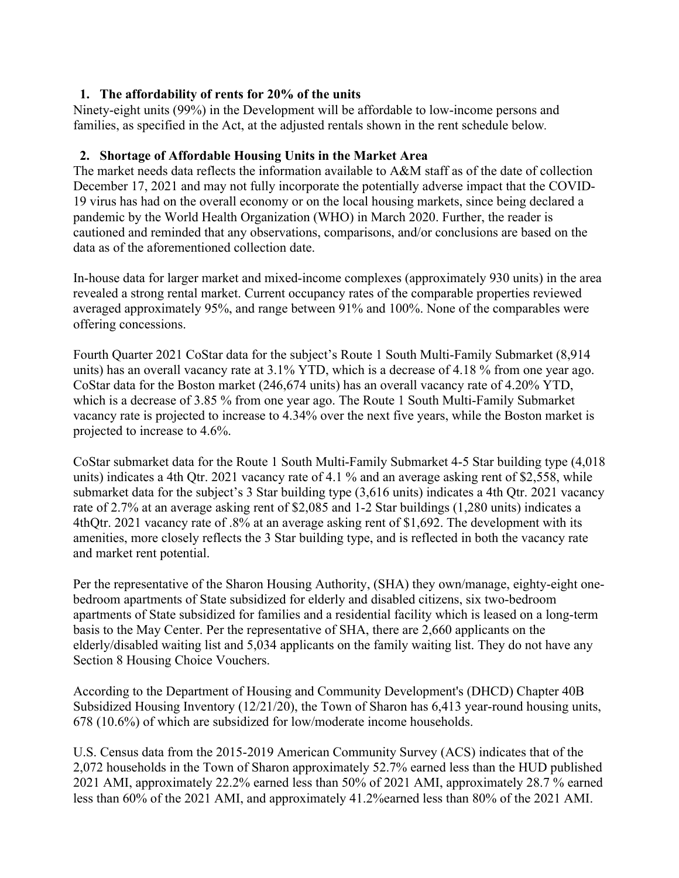# **1. The affordability of rents for 20% of the units**

Ninety-eight units (99%) in the Development will be affordable to low-income persons and families, as specified in the Act, at the adjusted rentals shown in the rent schedule below*.* 

# **2. Shortage of Affordable Housing Units in the Market Area**

The market needs data reflects the information available to A&M staff as of the date of collection December 17, 2021 and may not fully incorporate the potentially adverse impact that the COVID-19 virus has had on the overall economy or on the local housing markets, since being declared a pandemic by the World Health Organization (WHO) in March 2020. Further, the reader is cautioned and reminded that any observations, comparisons, and/or conclusions are based on the data as of the aforementioned collection date.

In-house data for larger market and mixed-income complexes (approximately 930 units) in the area revealed a strong rental market. Current occupancy rates of the comparable properties reviewed averaged approximately 95%, and range between 91% and 100%. None of the comparables were offering concessions.

Fourth Quarter 2021 CoStar data for the subject's Route 1 South Multi-Family Submarket (8,914 units) has an overall vacancy rate at 3.1% YTD, which is a decrease of 4.18 % from one year ago. CoStar data for the Boston market (246,674 units) has an overall vacancy rate of 4.20% YTD, which is a decrease of 3.85 % from one year ago. The Route 1 South Multi-Family Submarket vacancy rate is projected to increase to 4.34% over the next five years, while the Boston market is projected to increase to 4.6%.

CoStar submarket data for the Route 1 South Multi-Family Submarket 4-5 Star building type (4,018 units) indicates a 4th Qtr. 2021 vacancy rate of 4.1 % and an average asking rent of \$2,558, while submarket data for the subject's 3 Star building type (3,616 units) indicates a 4th Qtr. 2021 vacancy rate of 2.7% at an average asking rent of \$2,085 and 1-2 Star buildings (1,280 units) indicates a 4thQtr. 2021 vacancy rate of .8% at an average asking rent of \$1,692. The development with its amenities, more closely reflects the 3 Star building type, and is reflected in both the vacancy rate and market rent potential.

Per the representative of the Sharon Housing Authority, (SHA) they own/manage, eighty-eight onebedroom apartments of State subsidized for elderly and disabled citizens, six two-bedroom apartments of State subsidized for families and a residential facility which is leased on a long-term basis to the May Center. Per the representative of SHA, there are 2,660 applicants on the elderly/disabled waiting list and 5,034 applicants on the family waiting list. They do not have any Section 8 Housing Choice Vouchers.

According to the Department of Housing and Community Development's (DHCD) Chapter 40B Subsidized Housing Inventory (12/21/20), the Town of Sharon has 6,413 year-round housing units, 678 (10.6%) of which are subsidized for low/moderate income households.

U.S. Census data from the 2015-2019 American Community Survey (ACS) indicates that of the 2,072 households in the Town of Sharon approximately 52.7% earned less than the HUD published 2021 AMI, approximately 22.2% earned less than 50% of 2021 AMI, approximately 28.7 % earned less than 60% of the 2021 AMI, and approximately 41.2%earned less than 80% of the 2021 AMI.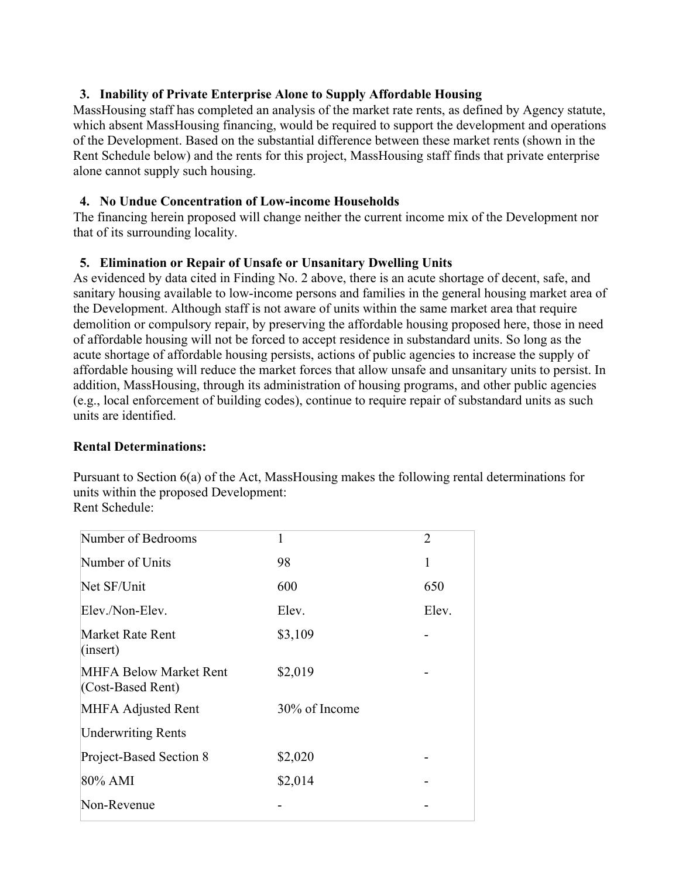# **3. Inability of Private Enterprise Alone to Supply Affordable Housing**

MassHousing staff has completed an analysis of the market rate rents, as defined by Agency statute, which absent MassHousing financing, would be required to support the development and operations of the Development. Based on the substantial difference between these market rents (shown in the Rent Schedule below) and the rents for this project, MassHousing staff finds that private enterprise alone cannot supply such housing.

### **4. No Undue Concentration of Low-income Households**

The financing herein proposed will change neither the current income mix of the Development nor that of its surrounding locality.

# **5. Elimination or Repair of Unsafe or Unsanitary Dwelling Units**

As evidenced by data cited in Finding No. 2 above, there is an acute shortage of decent, safe, and sanitary housing available to low-income persons and families in the general housing market area of the Development. Although staff is not aware of units within the same market area that require demolition or compulsory repair, by preserving the affordable housing proposed here, those in need of affordable housing will not be forced to accept residence in substandard units. So long as the acute shortage of affordable housing persists, actions of public agencies to increase the supply of affordable housing will reduce the market forces that allow unsafe and unsanitary units to persist. In addition, MassHousing, through its administration of housing programs, and other public agencies (e.g., local enforcement of building codes), continue to require repair of substandard units as such units are identified.

### **Rental Determinations:**

Pursuant to Section 6(a) of the Act, MassHousing makes the following rental determinations for units within the proposed Development: Rent Schedule:

| Number of Bedrooms                          | 1             | $\overline{2}$ |
|---------------------------------------------|---------------|----------------|
| Number of Units                             | 98            | 1              |
| Net SF/Unit                                 | 600           | 650            |
| Elev./Non-Elev.                             | Elev.         | Elev.          |
| Market Rate Rent<br>(inset)                 | \$3,109       |                |
| MHFA Below Market Rent<br>(Cost-Based Rent) | \$2,019       |                |
| MHFA Adjusted Rent                          | 30% of Income |                |
| <b>Underwriting Rents</b>                   |               |                |
| Project-Based Section 8                     | \$2,020       |                |
| 80% AMI                                     | \$2,014       |                |
| Non-Revenue                                 |               |                |
|                                             |               |                |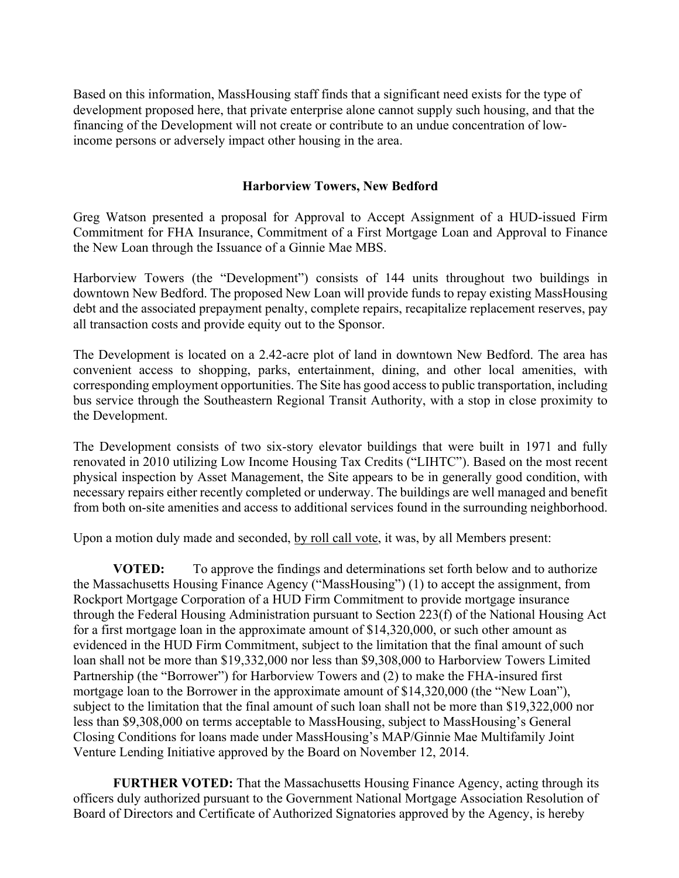Based on this information, MassHousing staff finds that a significant need exists for the type of development proposed here, that private enterprise alone cannot supply such housing, and that the financing of the Development will not create or contribute to an undue concentration of lowincome persons or adversely impact other housing in the area.

### **Harborview Towers, New Bedford**

Greg Watson presented a proposal for Approval to Accept Assignment of a HUD-issued Firm Commitment for FHA Insurance, Commitment of a First Mortgage Loan and Approval to Finance the New Loan through the Issuance of a Ginnie Mae MBS.

Harborview Towers (the "Development") consists of 144 units throughout two buildings in downtown New Bedford. The proposed New Loan will provide funds to repay existing MassHousing debt and the associated prepayment penalty, complete repairs, recapitalize replacement reserves, pay all transaction costs and provide equity out to the Sponsor.

The Development is located on a 2.42-acre plot of land in downtown New Bedford. The area has convenient access to shopping, parks, entertainment, dining, and other local amenities, with corresponding employment opportunities. The Site has good access to public transportation, including bus service through the Southeastern Regional Transit Authority, with a stop in close proximity to the Development.

The Development consists of two six-story elevator buildings that were built in 1971 and fully renovated in 2010 utilizing Low Income Housing Tax Credits ("LIHTC"). Based on the most recent physical inspection by Asset Management, the Site appears to be in generally good condition, with necessary repairs either recently completed or underway. The buildings are well managed and benefit from both on-site amenities and access to additional services found in the surrounding neighborhood.

Upon a motion duly made and seconded, by roll call vote, it was, by all Members present:

**VOTED:** To approve the findings and determinations set forth below and to authorize the Massachusetts Housing Finance Agency ("MassHousing") (1) to accept the assignment, from Rockport Mortgage Corporation of a HUD Firm Commitment to provide mortgage insurance through the Federal Housing Administration pursuant to Section 223(f) of the National Housing Act for a first mortgage loan in the approximate amount of \$14,320,000, or such other amount as evidenced in the HUD Firm Commitment, subject to the limitation that the final amount of such loan shall not be more than \$19,332,000 nor less than \$9,308,000 to Harborview Towers Limited Partnership (the "Borrower") for Harborview Towers and (2) to make the FHA-insured first mortgage loan to the Borrower in the approximate amount of \$14,320,000 (the "New Loan"), subject to the limitation that the final amount of such loan shall not be more than \$19,322,000 nor less than \$9,308,000 on terms acceptable to MassHousing, subject to MassHousing's General Closing Conditions for loans made under MassHousing's MAP/Ginnie Mae Multifamily Joint Venture Lending Initiative approved by the Board on November 12, 2014.

**FURTHER VOTED:** That the Massachusetts Housing Finance Agency, acting through its officers duly authorized pursuant to the Government National Mortgage Association Resolution of Board of Directors and Certificate of Authorized Signatories approved by the Agency, is hereby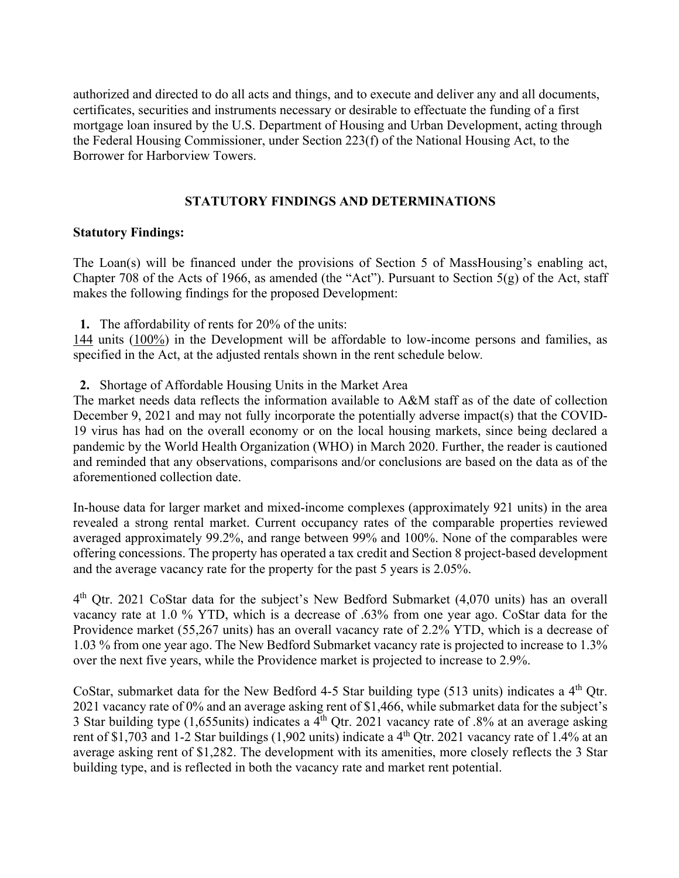authorized and directed to do all acts and things, and to execute and deliver any and all documents, certificates, securities and instruments necessary or desirable to effectuate the funding of a first mortgage loan insured by the U.S. Department of Housing and Urban Development, acting through the Federal Housing Commissioner, under Section 223(f) of the National Housing Act, to the Borrower for Harborview Towers.

# **STATUTORY FINDINGS AND DETERMINATIONS**

# **Statutory Findings:**

The Loan(s) will be financed under the provisions of Section 5 of MassHousing's enabling act, Chapter 708 of the Acts of 1966, as amended (the "Act"). Pursuant to Section  $5(g)$  of the Act, staff makes the following findings for the proposed Development:

**1.** The affordability of rents for 20% of the units:

144 units (100%) in the Development will be affordable to low-income persons and families, as specified in the Act, at the adjusted rentals shown in the rent schedule below*.* 

**2.** Shortage of Affordable Housing Units in the Market Area

The market needs data reflects the information available to A&M staff as of the date of collection December 9, 2021 and may not fully incorporate the potentially adverse impact(s) that the COVID-19 virus has had on the overall economy or on the local housing markets, since being declared a pandemic by the World Health Organization (WHO) in March 2020. Further, the reader is cautioned and reminded that any observations, comparisons and/or conclusions are based on the data as of the aforementioned collection date.

In-house data for larger market and mixed-income complexes (approximately 921 units) in the area revealed a strong rental market. Current occupancy rates of the comparable properties reviewed averaged approximately 99.2%, and range between 99% and 100%. None of the comparables were offering concessions. The property has operated a tax credit and Section 8 project-based development and the average vacancy rate for the property for the past 5 years is 2.05%.

4th Qtr. 2021 CoStar data for the subject's New Bedford Submarket (4,070 units) has an overall vacancy rate at 1.0 % YTD, which is a decrease of .63% from one year ago. CoStar data for the Providence market (55,267 units) has an overall vacancy rate of 2.2% YTD, which is a decrease of 1.03 % from one year ago. The New Bedford Submarket vacancy rate is projected to increase to 1.3% over the next five years, while the Providence market is projected to increase to 2.9%.

CoStar, submarket data for the New Bedford 4-5 Star building type (513 units) indicates a 4th Qtr. 2021 vacancy rate of 0% and an average asking rent of \$1,466, while submarket data for the subject's 3 Star building type (1,655units) indicates a  $4^{th}$  Otr. 2021 vacancy rate of .8% at an average asking rent of \$1,703 and 1-2 Star buildings (1,902 units) indicate a 4<sup>th</sup> Qtr. 2021 vacancy rate of 1.4% at an average asking rent of \$1,282. The development with its amenities, more closely reflects the 3 Star building type, and is reflected in both the vacancy rate and market rent potential.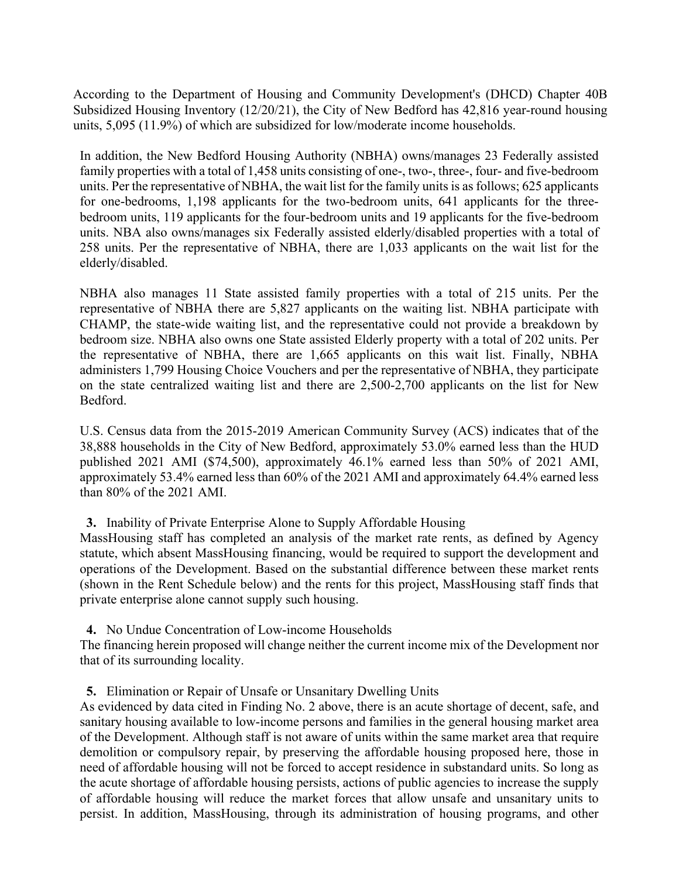According to the Department of Housing and Community Development's (DHCD) Chapter 40B Subsidized Housing Inventory (12/20/21), the City of New Bedford has 42,816 year-round housing units, 5,095 (11.9%) of which are subsidized for low/moderate income households.

In addition, the New Bedford Housing Authority (NBHA) owns/manages 23 Federally assisted family properties with a total of 1,458 units consisting of one-, two-, three-, four- and five-bedroom units. Per the representative of NBHA, the wait list for the family units is as follows; 625 applicants for one-bedrooms, 1,198 applicants for the two-bedroom units, 641 applicants for the threebedroom units, 119 applicants for the four-bedroom units and 19 applicants for the five-bedroom units. NBA also owns/manages six Federally assisted elderly/disabled properties with a total of 258 units. Per the representative of NBHA, there are 1,033 applicants on the wait list for the elderly/disabled.

NBHA also manages 11 State assisted family properties with a total of 215 units. Per the representative of NBHA there are 5,827 applicants on the waiting list. NBHA participate with CHAMP, the state-wide waiting list, and the representative could not provide a breakdown by bedroom size. NBHA also owns one State assisted Elderly property with a total of 202 units. Per the representative of NBHA, there are 1,665 applicants on this wait list. Finally, NBHA administers 1,799 Housing Choice Vouchers and per the representative of NBHA, they participate on the state centralized waiting list and there are 2,500-2,700 applicants on the list for New Bedford.

U.S. Census data from the 2015-2019 American Community Survey (ACS) indicates that of the 38,888 households in the City of New Bedford, approximately 53.0% earned less than the HUD published 2021 AMI (\$74,500), approximately 46.1% earned less than 50% of 2021 AMI, approximately 53.4% earned less than 60% of the 2021 AMI and approximately 64.4% earned less than 80% of the 2021 AMI.

### **3.** Inability of Private Enterprise Alone to Supply Affordable Housing

MassHousing staff has completed an analysis of the market rate rents, as defined by Agency statute, which absent MassHousing financing, would be required to support the development and operations of the Development. Based on the substantial difference between these market rents (shown in the Rent Schedule below) and the rents for this project, MassHousing staff finds that private enterprise alone cannot supply such housing.

**4.** No Undue Concentration of Low-income Households

The financing herein proposed will change neither the current income mix of the Development nor that of its surrounding locality.

**5.** Elimination or Repair of Unsafe or Unsanitary Dwelling Units

As evidenced by data cited in Finding No. 2 above, there is an acute shortage of decent, safe, and sanitary housing available to low-income persons and families in the general housing market area of the Development. Although staff is not aware of units within the same market area that require demolition or compulsory repair, by preserving the affordable housing proposed here, those in need of affordable housing will not be forced to accept residence in substandard units. So long as the acute shortage of affordable housing persists, actions of public agencies to increase the supply of affordable housing will reduce the market forces that allow unsafe and unsanitary units to persist. In addition, MassHousing, through its administration of housing programs, and other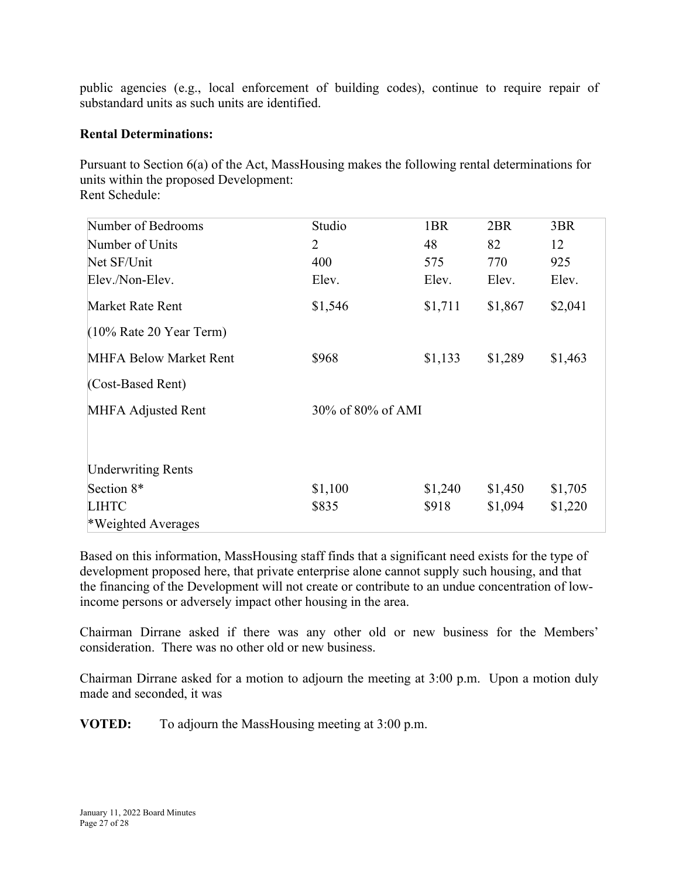public agencies (e.g., local enforcement of building codes), continue to require repair of substandard units as such units are identified.

### **Rental Determinations:**

Pursuant to Section 6(a) of the Act, MassHousing makes the following rental determinations for units within the proposed Development: Rent Schedule:

| Number of Bedrooms            | Studio            | 1BR     | 2BR     | 3BR     |
|-------------------------------|-------------------|---------|---------|---------|
| Number of Units               | 2                 | 48      | 82      | 12      |
| Net SF/Unit                   | 400               | 575     | 770     | 925     |
| Elev./Non-Elev.               | Elev.             | Elev.   | Elev.   | Elev.   |
| Market Rate Rent              | \$1,546           | \$1,711 | \$1,867 | \$2,041 |
| $(10\%$ Rate 20 Year Term)    |                   |         |         |         |
| <b>MHFA Below Market Rent</b> | \$968             | \$1,133 | \$1,289 | \$1,463 |
| (Cost-Based Rent)             |                   |         |         |         |
| <b>MHFA Adjusted Rent</b>     | 30% of 80% of AMI |         |         |         |
| <b>Underwriting Rents</b>     |                   |         |         |         |
| Section 8*                    | \$1,100           | \$1,240 | \$1,450 | \$1,705 |
| <b>LIHTC</b>                  | \$835             | \$918   | \$1,094 | \$1,220 |
| *Weighted Averages            |                   |         |         |         |

Based on this information, MassHousing staff finds that a significant need exists for the type of development proposed here, that private enterprise alone cannot supply such housing, and that the financing of the Development will not create or contribute to an undue concentration of lowincome persons or adversely impact other housing in the area.

Chairman Dirrane asked if there was any other old or new business for the Members' consideration. There was no other old or new business.

Chairman Dirrane asked for a motion to adjourn the meeting at 3:00 p.m. Upon a motion duly made and seconded, it was

**VOTED:** To adjourn the MassHousing meeting at 3:00 p.m.